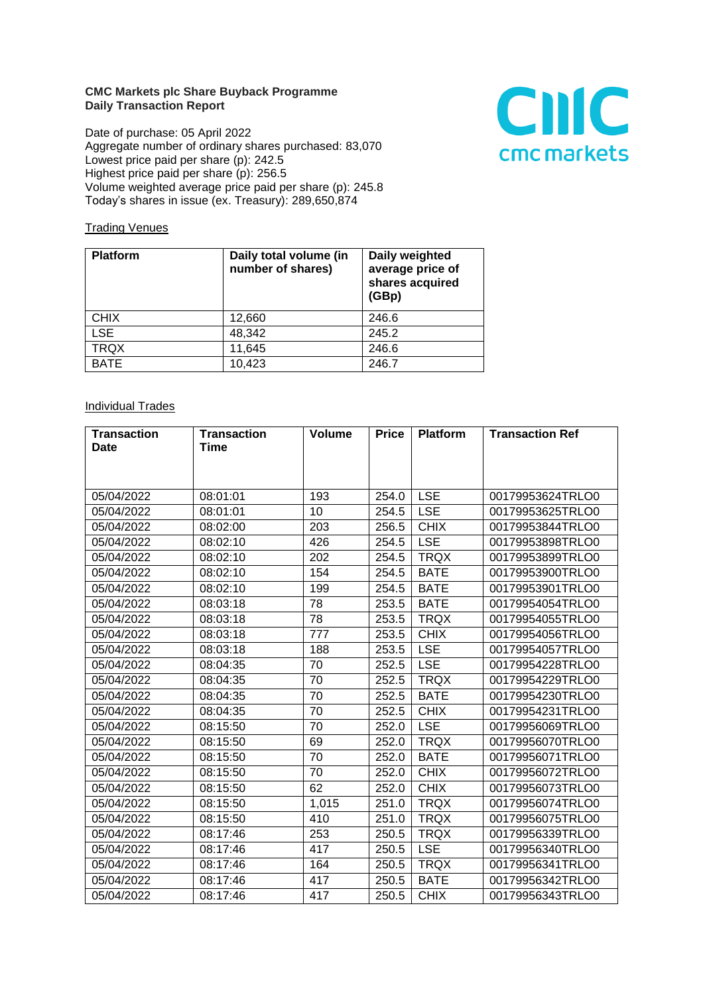## **CMC Markets plc Share Buyback Programme Daily Transaction Report**

Date of purchase: 05 April 2022 Aggregate number of ordinary shares purchased: 83,070 Lowest price paid per share (p): 242.5 Highest price paid per share (p): 256.5 Volume weighted average price paid per share (p): 245.8 Today's shares in issue (ex. Treasury): 289,650,874



## **Trading Venues**

| <b>Platform</b> | Daily total volume (in<br>number of shares) | Daily weighted<br>average price of<br>shares acquired<br>(GBp) |
|-----------------|---------------------------------------------|----------------------------------------------------------------|
| <b>CHIX</b>     | 12,660                                      | 246.6                                                          |
| <b>LSE</b>      | 48,342                                      | 245.2                                                          |
| <b>TRQX</b>     | 11,645                                      | 246.6                                                          |
| <b>BATE</b>     | 10,423                                      | 246.7                                                          |

## **Individual Trades**

| <b>Transaction</b> | <b>Transaction</b> | <b>Volume</b> | <b>Price</b> | <b>Platform</b> | <b>Transaction Ref</b> |
|--------------------|--------------------|---------------|--------------|-----------------|------------------------|
| <b>Date</b>        | <b>Time</b>        |               |              |                 |                        |
|                    |                    |               |              |                 |                        |
|                    |                    |               |              |                 |                        |
| 05/04/2022         | 08:01:01           | 193           | 254.0        | <b>LSE</b>      | 00179953624TRLO0       |
| 05/04/2022         | 08:01:01           | 10            | 254.5        | <b>LSE</b>      | 00179953625TRLO0       |
| 05/04/2022         | 08:02:00           | 203           | 256.5        | <b>CHIX</b>     | 00179953844TRLO0       |
| 05/04/2022         | 08:02:10           | 426           | 254.5        | <b>LSE</b>      | 00179953898TRLO0       |
| 05/04/2022         | 08:02:10           | 202           | 254.5        | <b>TRQX</b>     | 00179953899TRLO0       |
| 05/04/2022         | 08:02:10           | 154           | 254.5        | <b>BATE</b>     | 00179953900TRLO0       |
| 05/04/2022         | 08:02:10           | 199           | 254.5        | <b>BATE</b>     | 00179953901TRLO0       |
| 05/04/2022         | 08:03:18           | 78            | 253.5        | <b>BATE</b>     | 00179954054TRLO0       |
| 05/04/2022         | 08:03:18           | 78            | 253.5        | <b>TRQX</b>     | 00179954055TRLO0       |
| 05/04/2022         | 08:03:18           | 777           | 253.5        | <b>CHIX</b>     | 00179954056TRLO0       |
| 05/04/2022         | 08:03:18           | 188           | 253.5        | <b>LSE</b>      | 00179954057TRLO0       |
| 05/04/2022         | 08:04:35           | 70            | 252.5        | <b>LSE</b>      | 00179954228TRLO0       |
| 05/04/2022         | 08:04:35           | 70            | 252.5        | <b>TRQX</b>     | 00179954229TRLO0       |
| 05/04/2022         | 08:04:35           | 70            | 252.5        | <b>BATE</b>     | 00179954230TRLO0       |
| 05/04/2022         | 08:04:35           | 70            | 252.5        | <b>CHIX</b>     | 00179954231TRLO0       |
| 05/04/2022         | 08:15:50           | 70            | 252.0        | <b>LSE</b>      | 00179956069TRLO0       |
| 05/04/2022         | 08:15:50           | 69            | 252.0        | <b>TRQX</b>     | 00179956070TRLO0       |
| 05/04/2022         | 08:15:50           | 70            | 252.0        | <b>BATE</b>     | 00179956071TRLO0       |
| 05/04/2022         | 08:15:50           | 70            | 252.0        | <b>CHIX</b>     | 00179956072TRLO0       |
| 05/04/2022         | 08:15:50           | 62            | 252.0        | <b>CHIX</b>     | 00179956073TRLO0       |
| 05/04/2022         | 08:15:50           | 1,015         | 251.0        | <b>TRQX</b>     | 00179956074TRLO0       |
| 05/04/2022         | 08:15:50           | 410           | 251.0        | <b>TRQX</b>     | 00179956075TRLO0       |
| 05/04/2022         | 08:17:46           | 253           | 250.5        | <b>TRQX</b>     | 00179956339TRLO0       |
| 05/04/2022         | 08:17:46           | 417           | 250.5        | <b>LSE</b>      | 00179956340TRLO0       |
| 05/04/2022         | 08:17:46           | 164           | 250.5        | <b>TRQX</b>     | 00179956341TRLO0       |
| 05/04/2022         | 08:17:46           | 417           | 250.5        | <b>BATE</b>     | 00179956342TRLO0       |
| 05/04/2022         | 08:17:46           | 417           | 250.5        | <b>CHIX</b>     | 00179956343TRLO0       |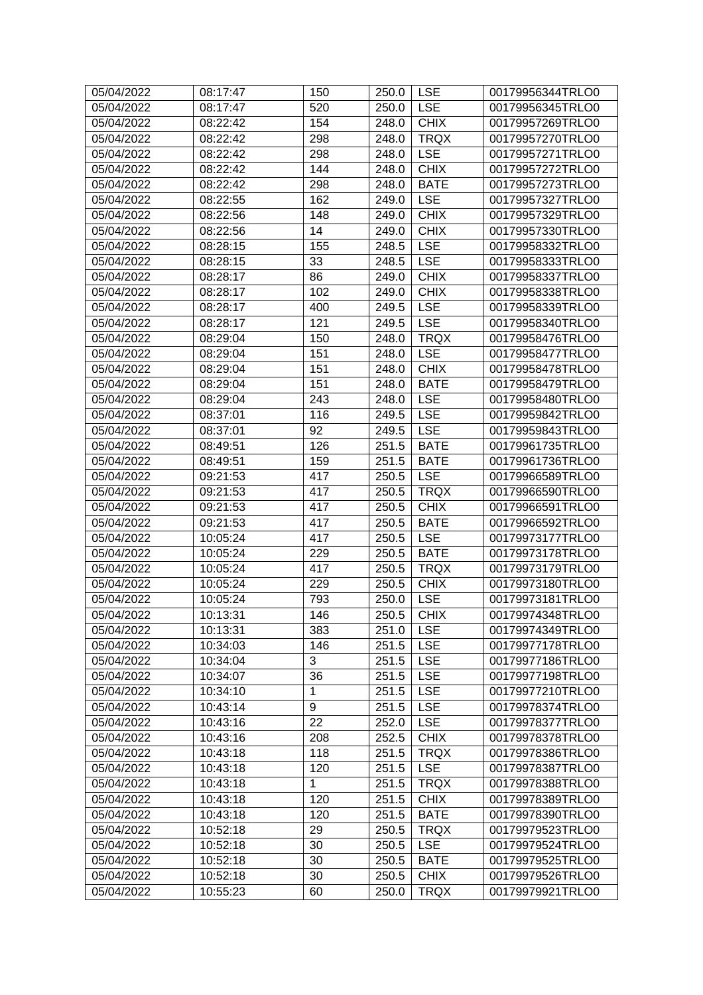| 520<br><b>LSE</b><br>00179956345TRLO0<br>05/04/2022<br>08:17:47<br>250.0<br><b>CHIX</b><br>05/04/2022<br>08:22:42<br>154<br>00179957269TRLO0<br>248.0<br>08:22:42<br>298<br><b>TRQX</b><br>05/04/2022<br>248.0<br>00179957270TRLO0<br>298<br><b>LSE</b><br>05/04/2022<br>08:22:42<br>248.0<br>00179957271TRLO0<br>144<br><b>CHIX</b><br>05/04/2022<br>08:22:42<br>248.0<br>00179957272TRLO0<br>298<br>05/04/2022<br>08:22:42<br>248.0<br><b>BATE</b><br>00179957273TRLO0<br><b>LSE</b><br>05/04/2022<br>08:22:55<br>162<br>249.0<br>00179957327TRLO0<br><b>CHIX</b><br>05/04/2022<br>08:22:56<br>148<br>249.0<br>00179957329TRLO0<br>14<br><b>CHIX</b><br>05/04/2022<br>08:22:56<br>249.0<br>00179957330TRLO0<br>155<br>05/04/2022<br>248.5<br><b>LSE</b><br>00179958332TRLO0<br>08:28:15<br>33<br><b>LSE</b><br>05/04/2022<br>08:28:15<br>248.5<br>00179958333TRLO0<br><b>CHIX</b><br>05/04/2022<br>86<br>249.0<br>00179958337TRLO0<br>08:28:17<br><b>CHIX</b><br>05/04/2022<br>08:28:17<br>102<br>249.0<br>00179958338TRLO0<br><b>LSE</b><br>05/04/2022<br>400<br>249.5<br>00179958339TRLO0<br>08:28:17<br><b>LSE</b><br>121<br>249.5<br>05/04/2022<br>08:28:17<br>00179958340TRLO0<br>150<br><b>TRQX</b><br>05/04/2022<br>08:29:04<br>248.0<br>00179958476TRLO0<br><b>LSE</b><br>151<br>05/04/2022<br>08:29:04<br>248.0<br>00179958477TRLO0<br><b>CHIX</b><br>05/04/2022<br>08:29:04<br>151<br>248.0<br>00179958478TRLO0<br>05/04/2022<br>08:29:04<br>151<br>00179958479TRLO0<br>248.0<br><b>BATE</b><br>243<br><b>LSE</b><br>05/04/2022<br>248.0<br>00179958480TRLO0<br>08:29:04<br><b>LSE</b><br>05/04/2022<br>116<br>249.5<br>08:37:01<br>00179959842TRLO0<br>92<br><b>LSE</b><br>05/04/2022<br>249.5<br>08:37:01<br>00179959843TRLO0<br>126<br>251.5<br><b>BATE</b><br>05/04/2022<br>08:49:51<br>00179961735TRLO0<br>05/04/2022<br>159<br>251.5<br><b>BATE</b><br>00179961736TRLO0<br>08:49:51<br>05/04/2022<br>09:21:53<br>417<br><b>LSE</b><br>00179966589TRLO0<br>250.5<br>417<br><b>TRQX</b><br>05/04/2022<br>250.5<br>00179966590TRLO0<br>09:21:53<br><b>CHIX</b><br>05/04/2022<br>09:21:53<br>417<br>250.5<br>00179966591TRLO0<br><b>BATE</b><br>05/04/2022<br>09:21:53<br>417<br>250.5<br>00179966592TRLO0<br><b>LSE</b><br>417<br>05/04/2022<br>10:05:24<br>250.5<br>00179973177TRLO0<br>229<br>05/04/2022<br>10:05:24<br>250.5<br><b>BATE</b><br>00179973178TRLO0<br>05/04/2022<br>10:05:24<br>417<br><b>TRQX</b><br>00179973179TRLO0<br>250.5<br>05/04/2022<br>229<br>250.5<br><b>CHIX</b><br>00179973180TRLO0<br>10:05:24<br><b>LSE</b><br>05/04/2022<br>00179973181TRLO0<br>10:05:24<br>793<br>250.0<br>146<br>250.5<br><b>CHIX</b><br>05/04/2022<br>10:13:31<br>00179974348TRLO0<br>383<br><b>LSE</b><br>05/04/2022<br>10:13:31<br>251.0<br>00179974349TRLO0<br><b>LSE</b><br>05/04/2022<br>10:34:03<br>146<br>251.5<br>00179977178TRLO0<br>3<br>05/04/2022<br>10:34:04<br>251.5<br><b>LSE</b><br>00179977186TRLO0<br><b>LSE</b><br>36<br>251.5<br>00179977198TRLO0<br>05/04/2022<br>10:34:07<br>$\mathbf{1}$<br>251.5<br><b>LSE</b><br>05/04/2022<br>00179977210TRLO0<br>10:34:10<br>9<br><b>LSE</b><br>05/04/2022<br>10:43:14<br>251.5<br>00179978374TRLO0<br>22<br><b>LSE</b><br>05/04/2022<br>10:43:16<br>252.0<br>00179978377TRLO0<br>05/04/2022<br>10:43:16<br>208<br>252.5<br><b>CHIX</b><br>00179978378TRLO0<br>05/04/2022<br>10:43:18<br>118<br>251.5<br><b>TRQX</b><br>00179978386TRLO0<br>251.5<br><b>LSE</b><br>05/04/2022<br>10:43:18<br>120<br>00179978387TRLO0<br>$\mathbf{1}$<br>10:43:18<br>251.5<br><b>TRQX</b><br>05/04/2022<br>00179978388TRLO0<br>05/04/2022<br>10:43:18<br>120<br>251.5<br><b>CHIX</b><br>00179978389TRLO0<br>05/04/2022<br>10:43:18<br>120<br>251.5<br><b>BATE</b><br>00179978390TRLO0<br>05/04/2022<br>10:52:18<br>29<br><b>TRQX</b><br>250.5<br>00179979523TRLO0<br>05/04/2022<br>10:52:18<br>250.5<br><b>LSE</b><br>00179979524TRLO0<br>30<br>250.5<br><b>BATE</b><br>05/04/2022<br>10:52:18<br>30<br>00179979525TRLO0<br>05/04/2022<br>10:52:18<br>30<br>250.5<br><b>CHIX</b><br>00179979526TRLO0 | 05/04/2022 | 08:17:47 | 150 | 250.0 | <b>LSE</b>  | 00179956344TRLO0 |
|------------------------------------------------------------------------------------------------------------------------------------------------------------------------------------------------------------------------------------------------------------------------------------------------------------------------------------------------------------------------------------------------------------------------------------------------------------------------------------------------------------------------------------------------------------------------------------------------------------------------------------------------------------------------------------------------------------------------------------------------------------------------------------------------------------------------------------------------------------------------------------------------------------------------------------------------------------------------------------------------------------------------------------------------------------------------------------------------------------------------------------------------------------------------------------------------------------------------------------------------------------------------------------------------------------------------------------------------------------------------------------------------------------------------------------------------------------------------------------------------------------------------------------------------------------------------------------------------------------------------------------------------------------------------------------------------------------------------------------------------------------------------------------------------------------------------------------------------------------------------------------------------------------------------------------------------------------------------------------------------------------------------------------------------------------------------------------------------------------------------------------------------------------------------------------------------------------------------------------------------------------------------------------------------------------------------------------------------------------------------------------------------------------------------------------------------------------------------------------------------------------------------------------------------------------------------------------------------------------------------------------------------------------------------------------------------------------------------------------------------------------------------------------------------------------------------------------------------------------------------------------------------------------------------------------------------------------------------------------------------------------------------------------------------------------------------------------------------------------------------------------------------------------------------------------------------------------------------------------------------------------------------------------------------------------------------------------------------------------------------------------------------------------------------------------------------------------------------------------------------------------------------------------------------------------------------------------------------------------------------------------------------------------------------------------------------------------------------------------------------------------------------------------------------------------------------------------------------------------------------------------------------------------------------------------------------------------------------------------------------------------------------------------------------------------------|------------|----------|-----|-------|-------------|------------------|
|                                                                                                                                                                                                                                                                                                                                                                                                                                                                                                                                                                                                                                                                                                                                                                                                                                                                                                                                                                                                                                                                                                                                                                                                                                                                                                                                                                                                                                                                                                                                                                                                                                                                                                                                                                                                                                                                                                                                                                                                                                                                                                                                                                                                                                                                                                                                                                                                                                                                                                                                                                                                                                                                                                                                                                                                                                                                                                                                                                                                                                                                                                                                                                                                                                                                                                                                                                                                                                                                                                                                                                                                                                                                                                                                                                                                                                                                                                                                                                                                                                                                  |            |          |     |       |             |                  |
|                                                                                                                                                                                                                                                                                                                                                                                                                                                                                                                                                                                                                                                                                                                                                                                                                                                                                                                                                                                                                                                                                                                                                                                                                                                                                                                                                                                                                                                                                                                                                                                                                                                                                                                                                                                                                                                                                                                                                                                                                                                                                                                                                                                                                                                                                                                                                                                                                                                                                                                                                                                                                                                                                                                                                                                                                                                                                                                                                                                                                                                                                                                                                                                                                                                                                                                                                                                                                                                                                                                                                                                                                                                                                                                                                                                                                                                                                                                                                                                                                                                                  |            |          |     |       |             |                  |
|                                                                                                                                                                                                                                                                                                                                                                                                                                                                                                                                                                                                                                                                                                                                                                                                                                                                                                                                                                                                                                                                                                                                                                                                                                                                                                                                                                                                                                                                                                                                                                                                                                                                                                                                                                                                                                                                                                                                                                                                                                                                                                                                                                                                                                                                                                                                                                                                                                                                                                                                                                                                                                                                                                                                                                                                                                                                                                                                                                                                                                                                                                                                                                                                                                                                                                                                                                                                                                                                                                                                                                                                                                                                                                                                                                                                                                                                                                                                                                                                                                                                  |            |          |     |       |             |                  |
|                                                                                                                                                                                                                                                                                                                                                                                                                                                                                                                                                                                                                                                                                                                                                                                                                                                                                                                                                                                                                                                                                                                                                                                                                                                                                                                                                                                                                                                                                                                                                                                                                                                                                                                                                                                                                                                                                                                                                                                                                                                                                                                                                                                                                                                                                                                                                                                                                                                                                                                                                                                                                                                                                                                                                                                                                                                                                                                                                                                                                                                                                                                                                                                                                                                                                                                                                                                                                                                                                                                                                                                                                                                                                                                                                                                                                                                                                                                                                                                                                                                                  |            |          |     |       |             |                  |
|                                                                                                                                                                                                                                                                                                                                                                                                                                                                                                                                                                                                                                                                                                                                                                                                                                                                                                                                                                                                                                                                                                                                                                                                                                                                                                                                                                                                                                                                                                                                                                                                                                                                                                                                                                                                                                                                                                                                                                                                                                                                                                                                                                                                                                                                                                                                                                                                                                                                                                                                                                                                                                                                                                                                                                                                                                                                                                                                                                                                                                                                                                                                                                                                                                                                                                                                                                                                                                                                                                                                                                                                                                                                                                                                                                                                                                                                                                                                                                                                                                                                  |            |          |     |       |             |                  |
|                                                                                                                                                                                                                                                                                                                                                                                                                                                                                                                                                                                                                                                                                                                                                                                                                                                                                                                                                                                                                                                                                                                                                                                                                                                                                                                                                                                                                                                                                                                                                                                                                                                                                                                                                                                                                                                                                                                                                                                                                                                                                                                                                                                                                                                                                                                                                                                                                                                                                                                                                                                                                                                                                                                                                                                                                                                                                                                                                                                                                                                                                                                                                                                                                                                                                                                                                                                                                                                                                                                                                                                                                                                                                                                                                                                                                                                                                                                                                                                                                                                                  |            |          |     |       |             |                  |
|                                                                                                                                                                                                                                                                                                                                                                                                                                                                                                                                                                                                                                                                                                                                                                                                                                                                                                                                                                                                                                                                                                                                                                                                                                                                                                                                                                                                                                                                                                                                                                                                                                                                                                                                                                                                                                                                                                                                                                                                                                                                                                                                                                                                                                                                                                                                                                                                                                                                                                                                                                                                                                                                                                                                                                                                                                                                                                                                                                                                                                                                                                                                                                                                                                                                                                                                                                                                                                                                                                                                                                                                                                                                                                                                                                                                                                                                                                                                                                                                                                                                  |            |          |     |       |             |                  |
|                                                                                                                                                                                                                                                                                                                                                                                                                                                                                                                                                                                                                                                                                                                                                                                                                                                                                                                                                                                                                                                                                                                                                                                                                                                                                                                                                                                                                                                                                                                                                                                                                                                                                                                                                                                                                                                                                                                                                                                                                                                                                                                                                                                                                                                                                                                                                                                                                                                                                                                                                                                                                                                                                                                                                                                                                                                                                                                                                                                                                                                                                                                                                                                                                                                                                                                                                                                                                                                                                                                                                                                                                                                                                                                                                                                                                                                                                                                                                                                                                                                                  |            |          |     |       |             |                  |
|                                                                                                                                                                                                                                                                                                                                                                                                                                                                                                                                                                                                                                                                                                                                                                                                                                                                                                                                                                                                                                                                                                                                                                                                                                                                                                                                                                                                                                                                                                                                                                                                                                                                                                                                                                                                                                                                                                                                                                                                                                                                                                                                                                                                                                                                                                                                                                                                                                                                                                                                                                                                                                                                                                                                                                                                                                                                                                                                                                                                                                                                                                                                                                                                                                                                                                                                                                                                                                                                                                                                                                                                                                                                                                                                                                                                                                                                                                                                                                                                                                                                  |            |          |     |       |             |                  |
|                                                                                                                                                                                                                                                                                                                                                                                                                                                                                                                                                                                                                                                                                                                                                                                                                                                                                                                                                                                                                                                                                                                                                                                                                                                                                                                                                                                                                                                                                                                                                                                                                                                                                                                                                                                                                                                                                                                                                                                                                                                                                                                                                                                                                                                                                                                                                                                                                                                                                                                                                                                                                                                                                                                                                                                                                                                                                                                                                                                                                                                                                                                                                                                                                                                                                                                                                                                                                                                                                                                                                                                                                                                                                                                                                                                                                                                                                                                                                                                                                                                                  |            |          |     |       |             |                  |
|                                                                                                                                                                                                                                                                                                                                                                                                                                                                                                                                                                                                                                                                                                                                                                                                                                                                                                                                                                                                                                                                                                                                                                                                                                                                                                                                                                                                                                                                                                                                                                                                                                                                                                                                                                                                                                                                                                                                                                                                                                                                                                                                                                                                                                                                                                                                                                                                                                                                                                                                                                                                                                                                                                                                                                                                                                                                                                                                                                                                                                                                                                                                                                                                                                                                                                                                                                                                                                                                                                                                                                                                                                                                                                                                                                                                                                                                                                                                                                                                                                                                  |            |          |     |       |             |                  |
|                                                                                                                                                                                                                                                                                                                                                                                                                                                                                                                                                                                                                                                                                                                                                                                                                                                                                                                                                                                                                                                                                                                                                                                                                                                                                                                                                                                                                                                                                                                                                                                                                                                                                                                                                                                                                                                                                                                                                                                                                                                                                                                                                                                                                                                                                                                                                                                                                                                                                                                                                                                                                                                                                                                                                                                                                                                                                                                                                                                                                                                                                                                                                                                                                                                                                                                                                                                                                                                                                                                                                                                                                                                                                                                                                                                                                                                                                                                                                                                                                                                                  |            |          |     |       |             |                  |
|                                                                                                                                                                                                                                                                                                                                                                                                                                                                                                                                                                                                                                                                                                                                                                                                                                                                                                                                                                                                                                                                                                                                                                                                                                                                                                                                                                                                                                                                                                                                                                                                                                                                                                                                                                                                                                                                                                                                                                                                                                                                                                                                                                                                                                                                                                                                                                                                                                                                                                                                                                                                                                                                                                                                                                                                                                                                                                                                                                                                                                                                                                                                                                                                                                                                                                                                                                                                                                                                                                                                                                                                                                                                                                                                                                                                                                                                                                                                                                                                                                                                  |            |          |     |       |             |                  |
|                                                                                                                                                                                                                                                                                                                                                                                                                                                                                                                                                                                                                                                                                                                                                                                                                                                                                                                                                                                                                                                                                                                                                                                                                                                                                                                                                                                                                                                                                                                                                                                                                                                                                                                                                                                                                                                                                                                                                                                                                                                                                                                                                                                                                                                                                                                                                                                                                                                                                                                                                                                                                                                                                                                                                                                                                                                                                                                                                                                                                                                                                                                                                                                                                                                                                                                                                                                                                                                                                                                                                                                                                                                                                                                                                                                                                                                                                                                                                                                                                                                                  |            |          |     |       |             |                  |
|                                                                                                                                                                                                                                                                                                                                                                                                                                                                                                                                                                                                                                                                                                                                                                                                                                                                                                                                                                                                                                                                                                                                                                                                                                                                                                                                                                                                                                                                                                                                                                                                                                                                                                                                                                                                                                                                                                                                                                                                                                                                                                                                                                                                                                                                                                                                                                                                                                                                                                                                                                                                                                                                                                                                                                                                                                                                                                                                                                                                                                                                                                                                                                                                                                                                                                                                                                                                                                                                                                                                                                                                                                                                                                                                                                                                                                                                                                                                                                                                                                                                  |            |          |     |       |             |                  |
|                                                                                                                                                                                                                                                                                                                                                                                                                                                                                                                                                                                                                                                                                                                                                                                                                                                                                                                                                                                                                                                                                                                                                                                                                                                                                                                                                                                                                                                                                                                                                                                                                                                                                                                                                                                                                                                                                                                                                                                                                                                                                                                                                                                                                                                                                                                                                                                                                                                                                                                                                                                                                                                                                                                                                                                                                                                                                                                                                                                                                                                                                                                                                                                                                                                                                                                                                                                                                                                                                                                                                                                                                                                                                                                                                                                                                                                                                                                                                                                                                                                                  |            |          |     |       |             |                  |
|                                                                                                                                                                                                                                                                                                                                                                                                                                                                                                                                                                                                                                                                                                                                                                                                                                                                                                                                                                                                                                                                                                                                                                                                                                                                                                                                                                                                                                                                                                                                                                                                                                                                                                                                                                                                                                                                                                                                                                                                                                                                                                                                                                                                                                                                                                                                                                                                                                                                                                                                                                                                                                                                                                                                                                                                                                                                                                                                                                                                                                                                                                                                                                                                                                                                                                                                                                                                                                                                                                                                                                                                                                                                                                                                                                                                                                                                                                                                                                                                                                                                  |            |          |     |       |             |                  |
|                                                                                                                                                                                                                                                                                                                                                                                                                                                                                                                                                                                                                                                                                                                                                                                                                                                                                                                                                                                                                                                                                                                                                                                                                                                                                                                                                                                                                                                                                                                                                                                                                                                                                                                                                                                                                                                                                                                                                                                                                                                                                                                                                                                                                                                                                                                                                                                                                                                                                                                                                                                                                                                                                                                                                                                                                                                                                                                                                                                                                                                                                                                                                                                                                                                                                                                                                                                                                                                                                                                                                                                                                                                                                                                                                                                                                                                                                                                                                                                                                                                                  |            |          |     |       |             |                  |
|                                                                                                                                                                                                                                                                                                                                                                                                                                                                                                                                                                                                                                                                                                                                                                                                                                                                                                                                                                                                                                                                                                                                                                                                                                                                                                                                                                                                                                                                                                                                                                                                                                                                                                                                                                                                                                                                                                                                                                                                                                                                                                                                                                                                                                                                                                                                                                                                                                                                                                                                                                                                                                                                                                                                                                                                                                                                                                                                                                                                                                                                                                                                                                                                                                                                                                                                                                                                                                                                                                                                                                                                                                                                                                                                                                                                                                                                                                                                                                                                                                                                  |            |          |     |       |             |                  |
|                                                                                                                                                                                                                                                                                                                                                                                                                                                                                                                                                                                                                                                                                                                                                                                                                                                                                                                                                                                                                                                                                                                                                                                                                                                                                                                                                                                                                                                                                                                                                                                                                                                                                                                                                                                                                                                                                                                                                                                                                                                                                                                                                                                                                                                                                                                                                                                                                                                                                                                                                                                                                                                                                                                                                                                                                                                                                                                                                                                                                                                                                                                                                                                                                                                                                                                                                                                                                                                                                                                                                                                                                                                                                                                                                                                                                                                                                                                                                                                                                                                                  |            |          |     |       |             |                  |
|                                                                                                                                                                                                                                                                                                                                                                                                                                                                                                                                                                                                                                                                                                                                                                                                                                                                                                                                                                                                                                                                                                                                                                                                                                                                                                                                                                                                                                                                                                                                                                                                                                                                                                                                                                                                                                                                                                                                                                                                                                                                                                                                                                                                                                                                                                                                                                                                                                                                                                                                                                                                                                                                                                                                                                                                                                                                                                                                                                                                                                                                                                                                                                                                                                                                                                                                                                                                                                                                                                                                                                                                                                                                                                                                                                                                                                                                                                                                                                                                                                                                  |            |          |     |       |             |                  |
|                                                                                                                                                                                                                                                                                                                                                                                                                                                                                                                                                                                                                                                                                                                                                                                                                                                                                                                                                                                                                                                                                                                                                                                                                                                                                                                                                                                                                                                                                                                                                                                                                                                                                                                                                                                                                                                                                                                                                                                                                                                                                                                                                                                                                                                                                                                                                                                                                                                                                                                                                                                                                                                                                                                                                                                                                                                                                                                                                                                                                                                                                                                                                                                                                                                                                                                                                                                                                                                                                                                                                                                                                                                                                                                                                                                                                                                                                                                                                                                                                                                                  |            |          |     |       |             |                  |
|                                                                                                                                                                                                                                                                                                                                                                                                                                                                                                                                                                                                                                                                                                                                                                                                                                                                                                                                                                                                                                                                                                                                                                                                                                                                                                                                                                                                                                                                                                                                                                                                                                                                                                                                                                                                                                                                                                                                                                                                                                                                                                                                                                                                                                                                                                                                                                                                                                                                                                                                                                                                                                                                                                                                                                                                                                                                                                                                                                                                                                                                                                                                                                                                                                                                                                                                                                                                                                                                                                                                                                                                                                                                                                                                                                                                                                                                                                                                                                                                                                                                  |            |          |     |       |             |                  |
|                                                                                                                                                                                                                                                                                                                                                                                                                                                                                                                                                                                                                                                                                                                                                                                                                                                                                                                                                                                                                                                                                                                                                                                                                                                                                                                                                                                                                                                                                                                                                                                                                                                                                                                                                                                                                                                                                                                                                                                                                                                                                                                                                                                                                                                                                                                                                                                                                                                                                                                                                                                                                                                                                                                                                                                                                                                                                                                                                                                                                                                                                                                                                                                                                                                                                                                                                                                                                                                                                                                                                                                                                                                                                                                                                                                                                                                                                                                                                                                                                                                                  |            |          |     |       |             |                  |
|                                                                                                                                                                                                                                                                                                                                                                                                                                                                                                                                                                                                                                                                                                                                                                                                                                                                                                                                                                                                                                                                                                                                                                                                                                                                                                                                                                                                                                                                                                                                                                                                                                                                                                                                                                                                                                                                                                                                                                                                                                                                                                                                                                                                                                                                                                                                                                                                                                                                                                                                                                                                                                                                                                                                                                                                                                                                                                                                                                                                                                                                                                                                                                                                                                                                                                                                                                                                                                                                                                                                                                                                                                                                                                                                                                                                                                                                                                                                                                                                                                                                  |            |          |     |       |             |                  |
|                                                                                                                                                                                                                                                                                                                                                                                                                                                                                                                                                                                                                                                                                                                                                                                                                                                                                                                                                                                                                                                                                                                                                                                                                                                                                                                                                                                                                                                                                                                                                                                                                                                                                                                                                                                                                                                                                                                                                                                                                                                                                                                                                                                                                                                                                                                                                                                                                                                                                                                                                                                                                                                                                                                                                                                                                                                                                                                                                                                                                                                                                                                                                                                                                                                                                                                                                                                                                                                                                                                                                                                                                                                                                                                                                                                                                                                                                                                                                                                                                                                                  |            |          |     |       |             |                  |
|                                                                                                                                                                                                                                                                                                                                                                                                                                                                                                                                                                                                                                                                                                                                                                                                                                                                                                                                                                                                                                                                                                                                                                                                                                                                                                                                                                                                                                                                                                                                                                                                                                                                                                                                                                                                                                                                                                                                                                                                                                                                                                                                                                                                                                                                                                                                                                                                                                                                                                                                                                                                                                                                                                                                                                                                                                                                                                                                                                                                                                                                                                                                                                                                                                                                                                                                                                                                                                                                                                                                                                                                                                                                                                                                                                                                                                                                                                                                                                                                                                                                  |            |          |     |       |             |                  |
|                                                                                                                                                                                                                                                                                                                                                                                                                                                                                                                                                                                                                                                                                                                                                                                                                                                                                                                                                                                                                                                                                                                                                                                                                                                                                                                                                                                                                                                                                                                                                                                                                                                                                                                                                                                                                                                                                                                                                                                                                                                                                                                                                                                                                                                                                                                                                                                                                                                                                                                                                                                                                                                                                                                                                                                                                                                                                                                                                                                                                                                                                                                                                                                                                                                                                                                                                                                                                                                                                                                                                                                                                                                                                                                                                                                                                                                                                                                                                                                                                                                                  |            |          |     |       |             |                  |
|                                                                                                                                                                                                                                                                                                                                                                                                                                                                                                                                                                                                                                                                                                                                                                                                                                                                                                                                                                                                                                                                                                                                                                                                                                                                                                                                                                                                                                                                                                                                                                                                                                                                                                                                                                                                                                                                                                                                                                                                                                                                                                                                                                                                                                                                                                                                                                                                                                                                                                                                                                                                                                                                                                                                                                                                                                                                                                                                                                                                                                                                                                                                                                                                                                                                                                                                                                                                                                                                                                                                                                                                                                                                                                                                                                                                                                                                                                                                                                                                                                                                  |            |          |     |       |             |                  |
|                                                                                                                                                                                                                                                                                                                                                                                                                                                                                                                                                                                                                                                                                                                                                                                                                                                                                                                                                                                                                                                                                                                                                                                                                                                                                                                                                                                                                                                                                                                                                                                                                                                                                                                                                                                                                                                                                                                                                                                                                                                                                                                                                                                                                                                                                                                                                                                                                                                                                                                                                                                                                                                                                                                                                                                                                                                                                                                                                                                                                                                                                                                                                                                                                                                                                                                                                                                                                                                                                                                                                                                                                                                                                                                                                                                                                                                                                                                                                                                                                                                                  |            |          |     |       |             |                  |
|                                                                                                                                                                                                                                                                                                                                                                                                                                                                                                                                                                                                                                                                                                                                                                                                                                                                                                                                                                                                                                                                                                                                                                                                                                                                                                                                                                                                                                                                                                                                                                                                                                                                                                                                                                                                                                                                                                                                                                                                                                                                                                                                                                                                                                                                                                                                                                                                                                                                                                                                                                                                                                                                                                                                                                                                                                                                                                                                                                                                                                                                                                                                                                                                                                                                                                                                                                                                                                                                                                                                                                                                                                                                                                                                                                                                                                                                                                                                                                                                                                                                  |            |          |     |       |             |                  |
|                                                                                                                                                                                                                                                                                                                                                                                                                                                                                                                                                                                                                                                                                                                                                                                                                                                                                                                                                                                                                                                                                                                                                                                                                                                                                                                                                                                                                                                                                                                                                                                                                                                                                                                                                                                                                                                                                                                                                                                                                                                                                                                                                                                                                                                                                                                                                                                                                                                                                                                                                                                                                                                                                                                                                                                                                                                                                                                                                                                                                                                                                                                                                                                                                                                                                                                                                                                                                                                                                                                                                                                                                                                                                                                                                                                                                                                                                                                                                                                                                                                                  |            |          |     |       |             |                  |
|                                                                                                                                                                                                                                                                                                                                                                                                                                                                                                                                                                                                                                                                                                                                                                                                                                                                                                                                                                                                                                                                                                                                                                                                                                                                                                                                                                                                                                                                                                                                                                                                                                                                                                                                                                                                                                                                                                                                                                                                                                                                                                                                                                                                                                                                                                                                                                                                                                                                                                                                                                                                                                                                                                                                                                                                                                                                                                                                                                                                                                                                                                                                                                                                                                                                                                                                                                                                                                                                                                                                                                                                                                                                                                                                                                                                                                                                                                                                                                                                                                                                  |            |          |     |       |             |                  |
|                                                                                                                                                                                                                                                                                                                                                                                                                                                                                                                                                                                                                                                                                                                                                                                                                                                                                                                                                                                                                                                                                                                                                                                                                                                                                                                                                                                                                                                                                                                                                                                                                                                                                                                                                                                                                                                                                                                                                                                                                                                                                                                                                                                                                                                                                                                                                                                                                                                                                                                                                                                                                                                                                                                                                                                                                                                                                                                                                                                                                                                                                                                                                                                                                                                                                                                                                                                                                                                                                                                                                                                                                                                                                                                                                                                                                                                                                                                                                                                                                                                                  |            |          |     |       |             |                  |
|                                                                                                                                                                                                                                                                                                                                                                                                                                                                                                                                                                                                                                                                                                                                                                                                                                                                                                                                                                                                                                                                                                                                                                                                                                                                                                                                                                                                                                                                                                                                                                                                                                                                                                                                                                                                                                                                                                                                                                                                                                                                                                                                                                                                                                                                                                                                                                                                                                                                                                                                                                                                                                                                                                                                                                                                                                                                                                                                                                                                                                                                                                                                                                                                                                                                                                                                                                                                                                                                                                                                                                                                                                                                                                                                                                                                                                                                                                                                                                                                                                                                  |            |          |     |       |             |                  |
|                                                                                                                                                                                                                                                                                                                                                                                                                                                                                                                                                                                                                                                                                                                                                                                                                                                                                                                                                                                                                                                                                                                                                                                                                                                                                                                                                                                                                                                                                                                                                                                                                                                                                                                                                                                                                                                                                                                                                                                                                                                                                                                                                                                                                                                                                                                                                                                                                                                                                                                                                                                                                                                                                                                                                                                                                                                                                                                                                                                                                                                                                                                                                                                                                                                                                                                                                                                                                                                                                                                                                                                                                                                                                                                                                                                                                                                                                                                                                                                                                                                                  |            |          |     |       |             |                  |
|                                                                                                                                                                                                                                                                                                                                                                                                                                                                                                                                                                                                                                                                                                                                                                                                                                                                                                                                                                                                                                                                                                                                                                                                                                                                                                                                                                                                                                                                                                                                                                                                                                                                                                                                                                                                                                                                                                                                                                                                                                                                                                                                                                                                                                                                                                                                                                                                                                                                                                                                                                                                                                                                                                                                                                                                                                                                                                                                                                                                                                                                                                                                                                                                                                                                                                                                                                                                                                                                                                                                                                                                                                                                                                                                                                                                                                                                                                                                                                                                                                                                  |            |          |     |       |             |                  |
|                                                                                                                                                                                                                                                                                                                                                                                                                                                                                                                                                                                                                                                                                                                                                                                                                                                                                                                                                                                                                                                                                                                                                                                                                                                                                                                                                                                                                                                                                                                                                                                                                                                                                                                                                                                                                                                                                                                                                                                                                                                                                                                                                                                                                                                                                                                                                                                                                                                                                                                                                                                                                                                                                                                                                                                                                                                                                                                                                                                                                                                                                                                                                                                                                                                                                                                                                                                                                                                                                                                                                                                                                                                                                                                                                                                                                                                                                                                                                                                                                                                                  |            |          |     |       |             |                  |
|                                                                                                                                                                                                                                                                                                                                                                                                                                                                                                                                                                                                                                                                                                                                                                                                                                                                                                                                                                                                                                                                                                                                                                                                                                                                                                                                                                                                                                                                                                                                                                                                                                                                                                                                                                                                                                                                                                                                                                                                                                                                                                                                                                                                                                                                                                                                                                                                                                                                                                                                                                                                                                                                                                                                                                                                                                                                                                                                                                                                                                                                                                                                                                                                                                                                                                                                                                                                                                                                                                                                                                                                                                                                                                                                                                                                                                                                                                                                                                                                                                                                  |            |          |     |       |             |                  |
|                                                                                                                                                                                                                                                                                                                                                                                                                                                                                                                                                                                                                                                                                                                                                                                                                                                                                                                                                                                                                                                                                                                                                                                                                                                                                                                                                                                                                                                                                                                                                                                                                                                                                                                                                                                                                                                                                                                                                                                                                                                                                                                                                                                                                                                                                                                                                                                                                                                                                                                                                                                                                                                                                                                                                                                                                                                                                                                                                                                                                                                                                                                                                                                                                                                                                                                                                                                                                                                                                                                                                                                                                                                                                                                                                                                                                                                                                                                                                                                                                                                                  |            |          |     |       |             |                  |
|                                                                                                                                                                                                                                                                                                                                                                                                                                                                                                                                                                                                                                                                                                                                                                                                                                                                                                                                                                                                                                                                                                                                                                                                                                                                                                                                                                                                                                                                                                                                                                                                                                                                                                                                                                                                                                                                                                                                                                                                                                                                                                                                                                                                                                                                                                                                                                                                                                                                                                                                                                                                                                                                                                                                                                                                                                                                                                                                                                                                                                                                                                                                                                                                                                                                                                                                                                                                                                                                                                                                                                                                                                                                                                                                                                                                                                                                                                                                                                                                                                                                  |            |          |     |       |             |                  |
|                                                                                                                                                                                                                                                                                                                                                                                                                                                                                                                                                                                                                                                                                                                                                                                                                                                                                                                                                                                                                                                                                                                                                                                                                                                                                                                                                                                                                                                                                                                                                                                                                                                                                                                                                                                                                                                                                                                                                                                                                                                                                                                                                                                                                                                                                                                                                                                                                                                                                                                                                                                                                                                                                                                                                                                                                                                                                                                                                                                                                                                                                                                                                                                                                                                                                                                                                                                                                                                                                                                                                                                                                                                                                                                                                                                                                                                                                                                                                                                                                                                                  |            |          |     |       |             |                  |
|                                                                                                                                                                                                                                                                                                                                                                                                                                                                                                                                                                                                                                                                                                                                                                                                                                                                                                                                                                                                                                                                                                                                                                                                                                                                                                                                                                                                                                                                                                                                                                                                                                                                                                                                                                                                                                                                                                                                                                                                                                                                                                                                                                                                                                                                                                                                                                                                                                                                                                                                                                                                                                                                                                                                                                                                                                                                                                                                                                                                                                                                                                                                                                                                                                                                                                                                                                                                                                                                                                                                                                                                                                                                                                                                                                                                                                                                                                                                                                                                                                                                  |            |          |     |       |             |                  |
|                                                                                                                                                                                                                                                                                                                                                                                                                                                                                                                                                                                                                                                                                                                                                                                                                                                                                                                                                                                                                                                                                                                                                                                                                                                                                                                                                                                                                                                                                                                                                                                                                                                                                                                                                                                                                                                                                                                                                                                                                                                                                                                                                                                                                                                                                                                                                                                                                                                                                                                                                                                                                                                                                                                                                                                                                                                                                                                                                                                                                                                                                                                                                                                                                                                                                                                                                                                                                                                                                                                                                                                                                                                                                                                                                                                                                                                                                                                                                                                                                                                                  |            |          |     |       |             |                  |
|                                                                                                                                                                                                                                                                                                                                                                                                                                                                                                                                                                                                                                                                                                                                                                                                                                                                                                                                                                                                                                                                                                                                                                                                                                                                                                                                                                                                                                                                                                                                                                                                                                                                                                                                                                                                                                                                                                                                                                                                                                                                                                                                                                                                                                                                                                                                                                                                                                                                                                                                                                                                                                                                                                                                                                                                                                                                                                                                                                                                                                                                                                                                                                                                                                                                                                                                                                                                                                                                                                                                                                                                                                                                                                                                                                                                                                                                                                                                                                                                                                                                  |            |          |     |       |             |                  |
|                                                                                                                                                                                                                                                                                                                                                                                                                                                                                                                                                                                                                                                                                                                                                                                                                                                                                                                                                                                                                                                                                                                                                                                                                                                                                                                                                                                                                                                                                                                                                                                                                                                                                                                                                                                                                                                                                                                                                                                                                                                                                                                                                                                                                                                                                                                                                                                                                                                                                                                                                                                                                                                                                                                                                                                                                                                                                                                                                                                                                                                                                                                                                                                                                                                                                                                                                                                                                                                                                                                                                                                                                                                                                                                                                                                                                                                                                                                                                                                                                                                                  |            |          |     |       |             |                  |
|                                                                                                                                                                                                                                                                                                                                                                                                                                                                                                                                                                                                                                                                                                                                                                                                                                                                                                                                                                                                                                                                                                                                                                                                                                                                                                                                                                                                                                                                                                                                                                                                                                                                                                                                                                                                                                                                                                                                                                                                                                                                                                                                                                                                                                                                                                                                                                                                                                                                                                                                                                                                                                                                                                                                                                                                                                                                                                                                                                                                                                                                                                                                                                                                                                                                                                                                                                                                                                                                                                                                                                                                                                                                                                                                                                                                                                                                                                                                                                                                                                                                  |            |          |     |       |             |                  |
|                                                                                                                                                                                                                                                                                                                                                                                                                                                                                                                                                                                                                                                                                                                                                                                                                                                                                                                                                                                                                                                                                                                                                                                                                                                                                                                                                                                                                                                                                                                                                                                                                                                                                                                                                                                                                                                                                                                                                                                                                                                                                                                                                                                                                                                                                                                                                                                                                                                                                                                                                                                                                                                                                                                                                                                                                                                                                                                                                                                                                                                                                                                                                                                                                                                                                                                                                                                                                                                                                                                                                                                                                                                                                                                                                                                                                                                                                                                                                                                                                                                                  |            |          |     |       |             |                  |
|                                                                                                                                                                                                                                                                                                                                                                                                                                                                                                                                                                                                                                                                                                                                                                                                                                                                                                                                                                                                                                                                                                                                                                                                                                                                                                                                                                                                                                                                                                                                                                                                                                                                                                                                                                                                                                                                                                                                                                                                                                                                                                                                                                                                                                                                                                                                                                                                                                                                                                                                                                                                                                                                                                                                                                                                                                                                                                                                                                                                                                                                                                                                                                                                                                                                                                                                                                                                                                                                                                                                                                                                                                                                                                                                                                                                                                                                                                                                                                                                                                                                  |            |          |     |       |             |                  |
|                                                                                                                                                                                                                                                                                                                                                                                                                                                                                                                                                                                                                                                                                                                                                                                                                                                                                                                                                                                                                                                                                                                                                                                                                                                                                                                                                                                                                                                                                                                                                                                                                                                                                                                                                                                                                                                                                                                                                                                                                                                                                                                                                                                                                                                                                                                                                                                                                                                                                                                                                                                                                                                                                                                                                                                                                                                                                                                                                                                                                                                                                                                                                                                                                                                                                                                                                                                                                                                                                                                                                                                                                                                                                                                                                                                                                                                                                                                                                                                                                                                                  |            |          |     |       |             |                  |
|                                                                                                                                                                                                                                                                                                                                                                                                                                                                                                                                                                                                                                                                                                                                                                                                                                                                                                                                                                                                                                                                                                                                                                                                                                                                                                                                                                                                                                                                                                                                                                                                                                                                                                                                                                                                                                                                                                                                                                                                                                                                                                                                                                                                                                                                                                                                                                                                                                                                                                                                                                                                                                                                                                                                                                                                                                                                                                                                                                                                                                                                                                                                                                                                                                                                                                                                                                                                                                                                                                                                                                                                                                                                                                                                                                                                                                                                                                                                                                                                                                                                  |            |          |     |       |             |                  |
|                                                                                                                                                                                                                                                                                                                                                                                                                                                                                                                                                                                                                                                                                                                                                                                                                                                                                                                                                                                                                                                                                                                                                                                                                                                                                                                                                                                                                                                                                                                                                                                                                                                                                                                                                                                                                                                                                                                                                                                                                                                                                                                                                                                                                                                                                                                                                                                                                                                                                                                                                                                                                                                                                                                                                                                                                                                                                                                                                                                                                                                                                                                                                                                                                                                                                                                                                                                                                                                                                                                                                                                                                                                                                                                                                                                                                                                                                                                                                                                                                                                                  | 05/04/2022 | 10:55:23 | 60  | 250.0 | <b>TRQX</b> | 00179979921TRLO0 |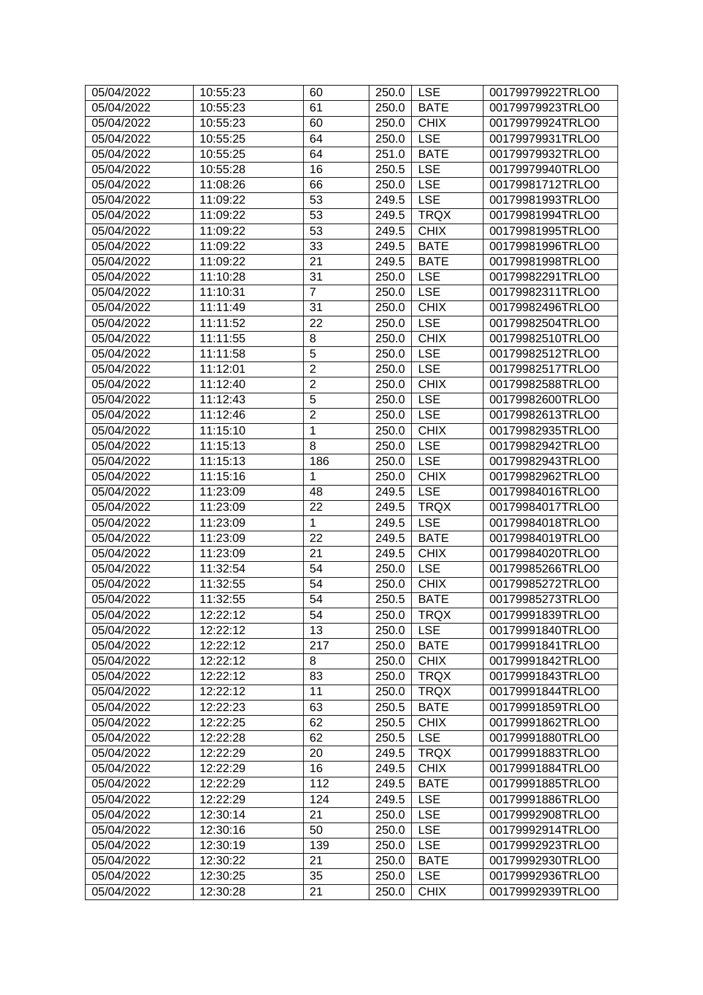| 05/04/2022 | 10:55:23 | 60              | 250.0 | <b>LSE</b>  | 00179979922TRLO0 |
|------------|----------|-----------------|-------|-------------|------------------|
| 05/04/2022 | 10:55:23 | 61              | 250.0 | <b>BATE</b> | 00179979923TRLO0 |
| 05/04/2022 | 10:55:23 | 60              | 250.0 | <b>CHIX</b> | 00179979924TRLO0 |
| 05/04/2022 | 10:55:25 | 64              | 250.0 | <b>LSE</b>  | 00179979931TRLO0 |
| 05/04/2022 | 10:55:25 | 64              | 251.0 | <b>BATE</b> | 00179979932TRLO0 |
| 05/04/2022 | 10:55:28 | 16              | 250.5 | <b>LSE</b>  | 00179979940TRLO0 |
| 05/04/2022 | 11:08:26 | 66              | 250.0 | <b>LSE</b>  | 00179981712TRLO0 |
| 05/04/2022 | 11:09:22 | 53              | 249.5 | <b>LSE</b>  | 00179981993TRLO0 |
| 05/04/2022 | 11:09:22 | 53              | 249.5 | <b>TRQX</b> | 00179981994TRLO0 |
| 05/04/2022 | 11:09:22 | 53              | 249.5 | <b>CHIX</b> | 00179981995TRLO0 |
| 05/04/2022 | 11:09:22 | 33              | 249.5 | <b>BATE</b> | 00179981996TRLO0 |
| 05/04/2022 | 11:09:22 | 21              | 249.5 | <b>BATE</b> | 00179981998TRLO0 |
| 05/04/2022 | 11:10:28 | 31              | 250.0 | <b>LSE</b>  | 00179982291TRLO0 |
| 05/04/2022 | 11:10:31 | $\overline{7}$  | 250.0 | <b>LSE</b>  | 00179982311TRLO0 |
| 05/04/2022 | 11:11:49 | 31              | 250.0 | <b>CHIX</b> | 00179982496TRLO0 |
| 05/04/2022 | 11:11:52 | 22              | 250.0 | <b>LSE</b>  | 00179982504TRLO0 |
| 05/04/2022 | 11:11:55 | 8               | 250.0 | <b>CHIX</b> | 00179982510TRLO0 |
| 05/04/2022 | 11:11:58 | $\overline{5}$  | 250.0 | <b>LSE</b>  | 00179982512TRLO0 |
| 05/04/2022 | 11:12:01 | $\overline{2}$  | 250.0 | <b>LSE</b>  | 00179982517TRLO0 |
|            |          | $\overline{2}$  |       |             |                  |
| 05/04/2022 | 11:12:40 |                 | 250.0 | <b>CHIX</b> | 00179982588TRLO0 |
| 05/04/2022 | 11:12:43 | $\overline{5}$  | 250.0 | <b>LSE</b>  | 00179982600TRLO0 |
| 05/04/2022 | 11:12:46 | $\overline{2}$  | 250.0 | <b>LSE</b>  | 00179982613TRLO0 |
| 05/04/2022 | 11:15:10 | 1               | 250.0 | <b>CHIX</b> | 00179982935TRLO0 |
| 05/04/2022 | 11:15:13 | 8               | 250.0 | <b>LSE</b>  | 00179982942TRLO0 |
| 05/04/2022 | 11:15:13 | 186             | 250.0 | <b>LSE</b>  | 00179982943TRLO0 |
| 05/04/2022 | 11:15:16 | $\mathbf{1}$    | 250.0 | <b>CHIX</b> | 00179982962TRLO0 |
| 05/04/2022 | 11:23:09 | 48              | 249.5 | <b>LSE</b>  | 00179984016TRLO0 |
| 05/04/2022 | 11:23:09 | 22              | 249.5 | <b>TRQX</b> | 00179984017TRLO0 |
| 05/04/2022 | 11:23:09 | $\mathbf{1}$    | 249.5 | <b>LSE</b>  | 00179984018TRLO0 |
| 05/04/2022 | 11:23:09 | 22              | 249.5 | <b>BATE</b> | 00179984019TRLO0 |
| 05/04/2022 | 11:23:09 | 21              | 249.5 | <b>CHIX</b> | 00179984020TRLO0 |
| 05/04/2022 | 11:32:54 | 54              | 250.0 | <b>LSE</b>  | 00179985266TRLO0 |
| 05/04/2022 | 11:32:55 | 54              | 250.0 | <b>CHIX</b> | 00179985272TRLO0 |
| 05/04/2022 | 11:32:55 | 54              | 250.5 | <b>BATE</b> | 00179985273TRLO0 |
| 05/04/2022 | 12:22:12 | $\overline{54}$ | 250.0 | <b>TRQX</b> | 00179991839TRLO0 |
| 05/04/2022 | 12:22:12 | 13              | 250.0 | <b>LSE</b>  | 00179991840TRLO0 |
| 05/04/2022 | 12:22:12 | 217             | 250.0 | <b>BATE</b> | 00179991841TRLO0 |
| 05/04/2022 | 12:22:12 | 8               | 250.0 | <b>CHIX</b> | 00179991842TRLO0 |
| 05/04/2022 | 12:22:12 | 83              | 250.0 | <b>TRQX</b> | 00179991843TRLO0 |
| 05/04/2022 | 12:22:12 | 11              | 250.0 | <b>TRQX</b> | 00179991844TRLO0 |
| 05/04/2022 | 12:22:23 | 63              | 250.5 | <b>BATE</b> | 00179991859TRLO0 |
| 05/04/2022 | 12:22:25 | 62              | 250.5 | <b>CHIX</b> | 00179991862TRLO0 |
| 05/04/2022 | 12:22:28 | 62              | 250.5 | <b>LSE</b>  | 00179991880TRLO0 |
| 05/04/2022 | 12:22:29 | 20              | 249.5 | <b>TRQX</b> | 00179991883TRLO0 |
| 05/04/2022 | 12:22:29 | 16              | 249.5 | <b>CHIX</b> | 00179991884TRLO0 |
| 05/04/2022 | 12:22:29 | 112             | 249.5 | <b>BATE</b> | 00179991885TRLO0 |
| 05/04/2022 | 12:22:29 | 124             | 249.5 | <b>LSE</b>  | 00179991886TRLO0 |
| 05/04/2022 | 12:30:14 | 21              | 250.0 | <b>LSE</b>  | 00179992908TRLO0 |
| 05/04/2022 | 12:30:16 | 50              | 250.0 | <b>LSE</b>  | 00179992914TRLO0 |
| 05/04/2022 | 12:30:19 | 139             | 250.0 | <b>LSE</b>  | 00179992923TRLO0 |
| 05/04/2022 | 12:30:22 | 21              | 250.0 | <b>BATE</b> | 00179992930TRLO0 |
| 05/04/2022 | 12:30:25 | 35              | 250.0 | <b>LSE</b>  | 00179992936TRLO0 |
| 05/04/2022 | 12:30:28 | 21              | 250.0 | <b>CHIX</b> | 00179992939TRLO0 |
|            |          |                 |       |             |                  |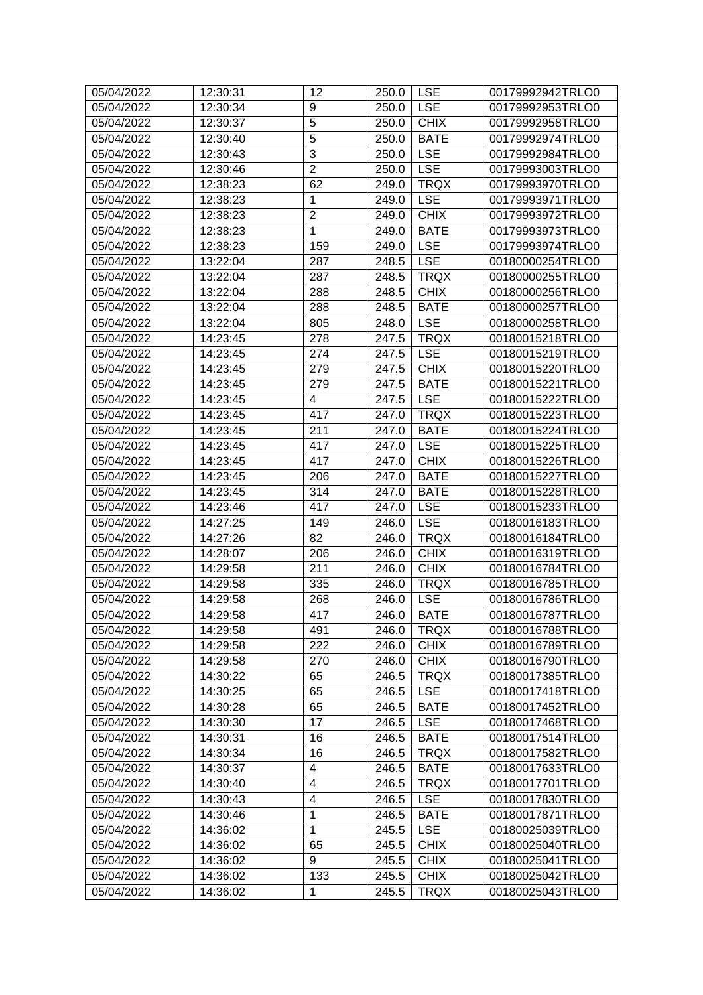| 05/04/2022 | 12:30:31 | 12                      | 250.0 | <b>LSE</b>  | 00179992942TRLO0 |
|------------|----------|-------------------------|-------|-------------|------------------|
| 05/04/2022 | 12:30:34 | 9                       | 250.0 | <b>LSE</b>  | 00179992953TRLO0 |
| 05/04/2022 | 12:30:37 | $\overline{5}$          | 250.0 | <b>CHIX</b> | 00179992958TRLO0 |
| 05/04/2022 | 12:30:40 | $\overline{5}$          | 250.0 | <b>BATE</b> | 00179992974TRLO0 |
| 05/04/2022 | 12:30:43 | 3                       | 250.0 | <b>LSE</b>  | 00179992984TRLO0 |
| 05/04/2022 | 12:30:46 | $\overline{2}$          | 250.0 | <b>LSE</b>  | 00179993003TRLO0 |
| 05/04/2022 | 12:38:23 | 62                      | 249.0 | <b>TRQX</b> | 00179993970TRLO0 |
| 05/04/2022 | 12:38:23 | 1                       | 249.0 | <b>LSE</b>  | 00179993971TRLO0 |
| 05/04/2022 | 12:38:23 | $\overline{2}$          | 249.0 | <b>CHIX</b> | 00179993972TRLO0 |
| 05/04/2022 | 12:38:23 | 1                       | 249.0 | <b>BATE</b> | 00179993973TRLO0 |
| 05/04/2022 | 12:38:23 | 159                     | 249.0 | <b>LSE</b>  | 00179993974TRLO0 |
| 05/04/2022 | 13:22:04 | 287                     | 248.5 | <b>LSE</b>  | 00180000254TRLO0 |
| 05/04/2022 | 13:22:04 | 287                     | 248.5 | <b>TRQX</b> | 00180000255TRLO0 |
| 05/04/2022 | 13:22:04 | 288                     | 248.5 | <b>CHIX</b> | 00180000256TRLO0 |
| 05/04/2022 | 13:22:04 | 288                     | 248.5 | <b>BATE</b> | 00180000257TRLO0 |
| 05/04/2022 | 13:22:04 | 805                     | 248.0 | <b>LSE</b>  | 00180000258TRLO0 |
| 05/04/2022 | 14:23:45 | 278                     | 247.5 | <b>TRQX</b> | 00180015218TRLO0 |
| 05/04/2022 | 14:23:45 | 274                     | 247.5 | <b>LSE</b>  | 00180015219TRLO0 |
| 05/04/2022 | 14:23:45 | 279                     | 247.5 | <b>CHIX</b> | 00180015220TRLO0 |
| 05/04/2022 | 14:23:45 | 279                     | 247.5 | <b>BATE</b> | 00180015221TRLO0 |
| 05/04/2022 | 14:23:45 | 4                       | 247.5 | <b>LSE</b>  | 00180015222TRLO0 |
| 05/04/2022 | 14:23:45 | 417                     | 247.0 | <b>TRQX</b> | 00180015223TRLO0 |
| 05/04/2022 | 14:23:45 | 211                     | 247.0 | <b>BATE</b> | 00180015224TRLO0 |
| 05/04/2022 | 14:23:45 | 417                     | 247.0 | <b>LSE</b>  | 00180015225TRLO0 |
| 05/04/2022 | 14:23:45 | 417                     | 247.0 | <b>CHIX</b> | 00180015226TRLO0 |
| 05/04/2022 | 14:23:45 | 206                     | 247.0 | <b>BATE</b> | 00180015227TRLO0 |
| 05/04/2022 | 14:23:45 | 314                     | 247.0 | <b>BATE</b> | 00180015228TRLO0 |
| 05/04/2022 | 14:23:46 | 417                     | 247.0 | <b>LSE</b>  | 00180015233TRLO0 |
| 05/04/2022 | 14:27:25 | 149                     | 246.0 | <b>LSE</b>  | 00180016183TRLO0 |
| 05/04/2022 | 14:27:26 | 82                      | 246.0 | <b>TRQX</b> | 00180016184TRLO0 |
| 05/04/2022 | 14:28:07 | 206                     | 246.0 | <b>CHIX</b> | 00180016319TRLO0 |
| 05/04/2022 | 14:29:58 | 211                     | 246.0 | <b>CHIX</b> | 00180016784TRLO0 |
| 05/04/2022 | 14:29:58 | 335                     | 246.0 | <b>TRQX</b> | 00180016785TRLO0 |
| 05/04/2022 | 14:29:58 | 268                     | 246.0 | <b>LSE</b>  | 00180016786TRLO0 |
| 05/04/2022 | 14:29:58 | 417                     | 246.0 | <b>BATE</b> | 00180016787TRLO0 |
| 05/04/2022 | 14:29:58 | 491                     | 246.0 | <b>TRQX</b> | 00180016788TRLO0 |
| 05/04/2022 | 14:29:58 | 222                     | 246.0 | <b>CHIX</b> | 00180016789TRLO0 |
| 05/04/2022 | 14:29:58 | 270                     | 246.0 | <b>CHIX</b> | 00180016790TRLO0 |
| 05/04/2022 | 14:30:22 | 65                      | 246.5 | <b>TRQX</b> | 00180017385TRLO0 |
| 05/04/2022 | 14:30:25 | 65                      | 246.5 | <b>LSE</b>  | 00180017418TRLO0 |
| 05/04/2022 | 14:30:28 | 65                      | 246.5 | <b>BATE</b> | 00180017452TRLO0 |
| 05/04/2022 | 14:30:30 | 17                      | 246.5 | <b>LSE</b>  | 00180017468TRLO0 |
| 05/04/2022 | 14:30:31 | 16                      | 246.5 | <b>BATE</b> | 00180017514TRLO0 |
| 05/04/2022 | 14:30:34 | 16                      | 246.5 | <b>TRQX</b> | 00180017582TRLO0 |
| 05/04/2022 | 14:30:37 | 4                       | 246.5 | <b>BATE</b> | 00180017633TRLO0 |
| 05/04/2022 | 14:30:40 | $\overline{\mathbf{4}}$ | 246.5 | <b>TRQX</b> | 00180017701TRLO0 |
| 05/04/2022 | 14:30:43 | $\overline{\mathbf{4}}$ | 246.5 | <b>LSE</b>  | 00180017830TRLO0 |
| 05/04/2022 | 14:30:46 | $\mathbf{1}$            | 246.5 | <b>BATE</b> | 00180017871TRLO0 |
| 05/04/2022 | 14:36:02 | $\mathbf 1$             | 245.5 | <b>LSE</b>  | 00180025039TRLO0 |
| 05/04/2022 | 14:36:02 | 65                      | 245.5 | <b>CHIX</b> | 00180025040TRLO0 |
| 05/04/2022 | 14:36:02 | 9                       | 245.5 | <b>CHIX</b> | 00180025041TRLO0 |
| 05/04/2022 | 14:36:02 | 133                     | 245.5 | <b>CHIX</b> | 00180025042TRLO0 |
| 05/04/2022 | 14:36:02 | 1                       |       |             | 00180025043TRLO0 |
|            |          |                         | 245.5 | <b>TRQX</b> |                  |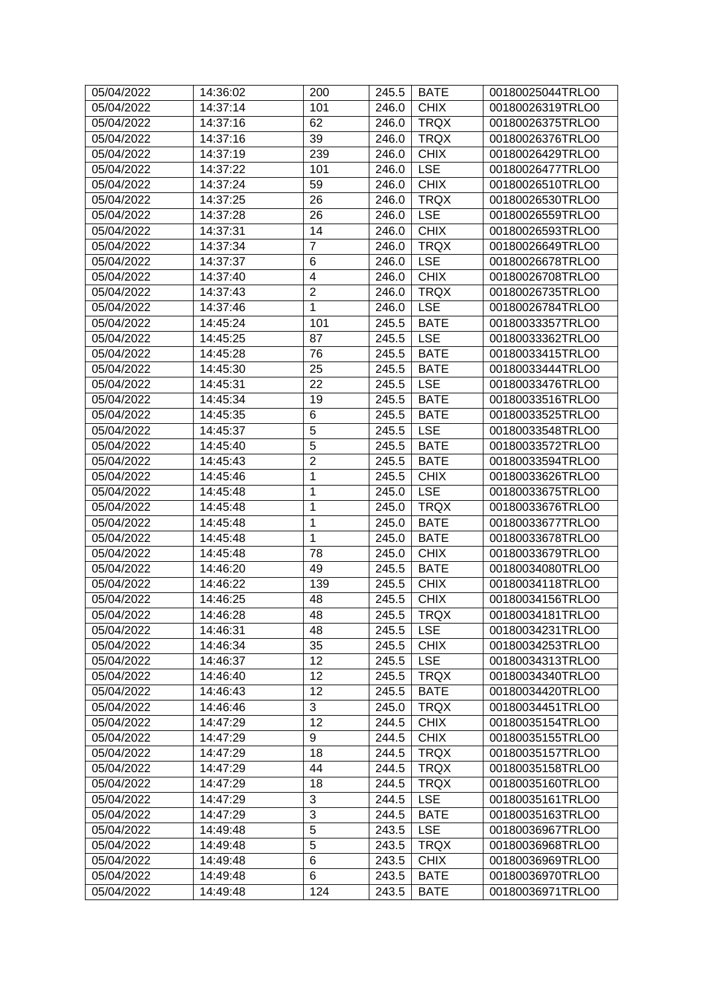| 05/04/2022 | 14:36:02 | 200                 | 245.5 | <b>BATE</b> | 00180025044TRLO0 |
|------------|----------|---------------------|-------|-------------|------------------|
| 05/04/2022 | 14:37:14 | 101                 | 246.0 | <b>CHIX</b> | 00180026319TRLO0 |
| 05/04/2022 | 14:37:16 | 62                  | 246.0 | <b>TRQX</b> | 00180026375TRLO0 |
| 05/04/2022 | 14:37:16 | 39                  | 246.0 | <b>TRQX</b> | 00180026376TRLO0 |
| 05/04/2022 | 14:37:19 | 239                 | 246.0 | <b>CHIX</b> | 00180026429TRLO0 |
| 05/04/2022 | 14:37:22 | 101                 | 246.0 | <b>LSE</b>  | 00180026477TRLO0 |
| 05/04/2022 | 14:37:24 | 59                  | 246.0 | <b>CHIX</b> | 00180026510TRLO0 |
| 05/04/2022 | 14:37:25 | 26                  | 246.0 | <b>TRQX</b> | 00180026530TRLO0 |
| 05/04/2022 | 14:37:28 | 26                  | 246.0 | <b>LSE</b>  | 00180026559TRLO0 |
| 05/04/2022 | 14:37:31 | 14                  | 246.0 | <b>CHIX</b> | 00180026593TRLO0 |
| 05/04/2022 | 14:37:34 | $\overline{7}$      | 246.0 | <b>TRQX</b> | 00180026649TRLO0 |
| 05/04/2022 | 14:37:37 | 6                   | 246.0 | <b>LSE</b>  | 00180026678TRLO0 |
| 05/04/2022 | 14:37:40 | $\overline{4}$      | 246.0 | <b>CHIX</b> | 00180026708TRLO0 |
| 05/04/2022 | 14:37:43 | $\overline{2}$      | 246.0 | <b>TRQX</b> | 00180026735TRLO0 |
| 05/04/2022 | 14:37:46 | $\mathbf{1}$        | 246.0 | <b>LSE</b>  | 00180026784TRLO0 |
| 05/04/2022 | 14:45:24 | 101                 | 245.5 | <b>BATE</b> | 00180033357TRLO0 |
| 05/04/2022 | 14:45:25 | 87                  | 245.5 | <b>LSE</b>  | 00180033362TRLO0 |
| 05/04/2022 | 14:45:28 | 76                  | 245.5 | <b>BATE</b> | 00180033415TRLO0 |
| 05/04/2022 | 14:45:30 | 25                  | 245.5 | <b>BATE</b> | 00180033444TRLO0 |
| 05/04/2022 | 14:45:31 | 22                  | 245.5 | <b>LSE</b>  | 00180033476TRLO0 |
| 05/04/2022 | 14:45:34 | 19                  | 245.5 | <b>BATE</b> | 00180033516TRLO0 |
| 05/04/2022 | 14:45:35 | $6\phantom{1}6$     | 245.5 | <b>BATE</b> | 00180033525TRLO0 |
| 05/04/2022 | 14:45:37 | $\overline{5}$      | 245.5 | <b>LSE</b>  | 00180033548TRLO0 |
| 05/04/2022 | 14:45:40 | $\overline{5}$      | 245.5 | <b>BATE</b> | 00180033572TRLO0 |
| 05/04/2022 | 14:45:43 | $\overline{2}$      | 245.5 | <b>BATE</b> | 00180033594TRLO0 |
| 05/04/2022 | 14:45:46 | $\mathbf 1$         | 245.5 | <b>CHIX</b> | 00180033626TRLO0 |
| 05/04/2022 | 14:45:48 | $\mathbf{1}$        | 245.0 | <b>LSE</b>  | 00180033675TRLO0 |
| 05/04/2022 | 14:45:48 | 1                   | 245.0 | <b>TRQX</b> | 00180033676TRLO0 |
| 05/04/2022 | 14:45:48 | 1                   | 245.0 | <b>BATE</b> | 00180033677TRLO0 |
| 05/04/2022 | 14:45:48 | $\mathbf{1}$        | 245.0 | <b>BATE</b> | 00180033678TRLO0 |
| 05/04/2022 | 14:45:48 | 78                  | 245.0 | <b>CHIX</b> | 00180033679TRLO0 |
| 05/04/2022 | 14:46:20 | 49                  | 245.5 | <b>BATE</b> | 00180034080TRLO0 |
| 05/04/2022 | 14:46:22 | 139                 | 245.5 | <b>CHIX</b> | 00180034118TRLO0 |
| 05/04/2022 | 14:46:25 | 48                  | 245.5 | <b>CHIX</b> | 00180034156TRLO0 |
| 05/04/2022 | 14:46:28 | 48                  | 245.5 | <b>TRQX</b> | 00180034181TRLO0 |
| 05/04/2022 | 14:46:31 | 48                  | 245.5 | <b>LSE</b>  | 00180034231TRLO0 |
| 05/04/2022 | 14:46:34 | 35                  | 245.5 | <b>CHIX</b> | 00180034253TRLO0 |
| 05/04/2022 | 14:46:37 | 12                  | 245.5 | <b>LSE</b>  | 00180034313TRLO0 |
| 05/04/2022 | 14:46:40 | 12                  | 245.5 | <b>TRQX</b> | 00180034340TRLO0 |
| 05/04/2022 | 14:46:43 | 12                  | 245.5 | <b>BATE</b> | 00180034420TRLO0 |
| 05/04/2022 | 14:46:46 | 3                   | 245.0 | <b>TRQX</b> | 00180034451TRLO0 |
| 05/04/2022 | 14:47:29 | 12                  | 244.5 | <b>CHIX</b> | 00180035154TRLO0 |
| 05/04/2022 | 14:47:29 | 9                   | 244.5 | <b>CHIX</b> | 00180035155TRLO0 |
| 05/04/2022 | 14:47:29 | 18                  | 244.5 | <b>TRQX</b> | 00180035157TRLO0 |
| 05/04/2022 | 14:47:29 | 44                  | 244.5 | <b>TRQX</b> | 00180035158TRLO0 |
| 05/04/2022 | 14:47:29 | 18                  | 244.5 | <b>TRQX</b> | 00180035160TRLO0 |
|            |          |                     |       |             |                  |
| 05/04/2022 | 14:47:29 | 3<br>$\overline{3}$ | 244.5 | <b>LSE</b>  | 00180035161TRLO0 |
| 05/04/2022 | 14:47:29 | $\overline{5}$      | 244.5 | <b>BATE</b> | 00180035163TRLO0 |
| 05/04/2022 | 14:49:48 |                     | 243.5 | <b>LSE</b>  | 00180036967TRLO0 |
| 05/04/2022 | 14:49:48 | 5<br>6              | 243.5 | <b>TRQX</b> | 00180036968TRLO0 |
| 05/04/2022 | 14:49:48 |                     | 243.5 | <b>CHIX</b> | 00180036969TRLO0 |
| 05/04/2022 | 14:49:48 | 6                   | 243.5 | <b>BATE</b> | 00180036970TRLO0 |
| 05/04/2022 | 14:49:48 | 124                 | 243.5 | <b>BATE</b> | 00180036971TRLO0 |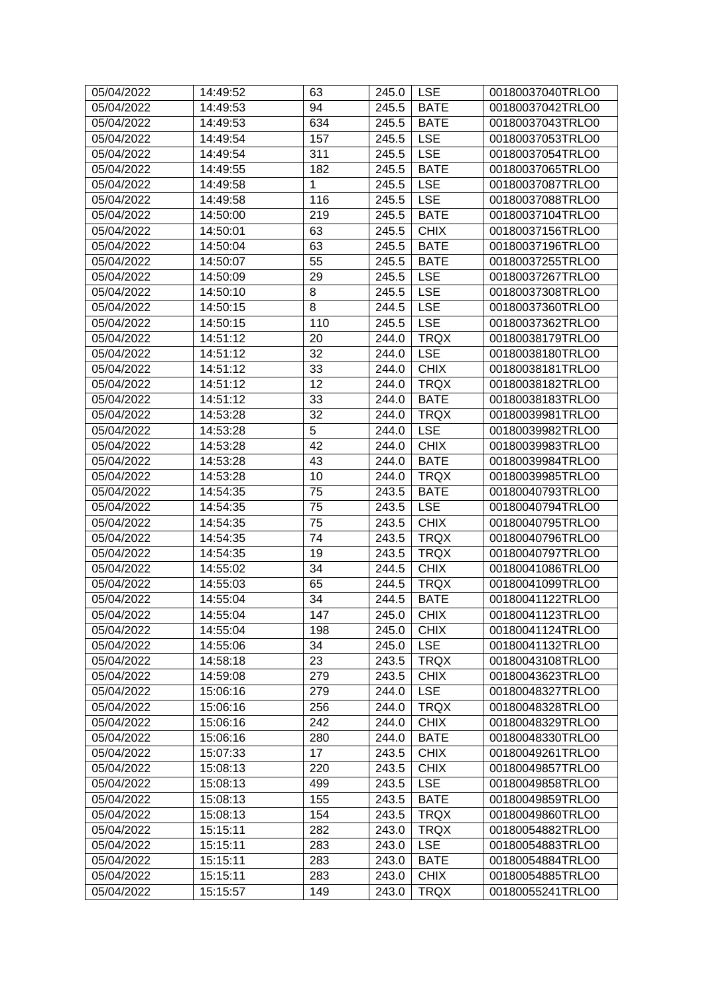| 05/04/2022 | 14:49:52 | 63             | 245.0 | <b>LSE</b>  | 00180037040TRLO0 |
|------------|----------|----------------|-------|-------------|------------------|
| 05/04/2022 | 14:49:53 | 94             | 245.5 | <b>BATE</b> | 00180037042TRLO0 |
| 05/04/2022 | 14:49:53 | 634            | 245.5 | <b>BATE</b> | 00180037043TRLO0 |
| 05/04/2022 | 14:49:54 | 157            | 245.5 | <b>LSE</b>  | 00180037053TRLO0 |
| 05/04/2022 | 14:49:54 | 311            | 245.5 | <b>LSE</b>  | 00180037054TRLO0 |
| 05/04/2022 | 14:49:55 | 182            | 245.5 | <b>BATE</b> | 00180037065TRLO0 |
| 05/04/2022 | 14:49:58 | 1              | 245.5 | <b>LSE</b>  | 00180037087TRLO0 |
| 05/04/2022 | 14:49:58 | 116            | 245.5 | <b>LSE</b>  | 00180037088TRLO0 |
| 05/04/2022 | 14:50:00 | 219            | 245.5 | <b>BATE</b> | 00180037104TRLO0 |
| 05/04/2022 | 14:50:01 | 63             | 245.5 | <b>CHIX</b> | 00180037156TRLO0 |
| 05/04/2022 | 14:50:04 | 63             | 245.5 | <b>BATE</b> | 00180037196TRLO0 |
| 05/04/2022 | 14:50:07 | 55             | 245.5 | <b>BATE</b> | 00180037255TRLO0 |
| 05/04/2022 | 14:50:09 | 29             | 245.5 | <b>LSE</b>  | 00180037267TRLO0 |
| 05/04/2022 | 14:50:10 | 8              | 245.5 | <b>LSE</b>  | 00180037308TRLO0 |
| 05/04/2022 | 14:50:15 | 8              | 244.5 | <b>LSE</b>  | 00180037360TRLO0 |
| 05/04/2022 | 14:50:15 | 110            | 245.5 | <b>LSE</b>  | 00180037362TRLO0 |
| 05/04/2022 | 14:51:12 | 20             | 244.0 | <b>TRQX</b> | 00180038179TRLO0 |
| 05/04/2022 | 14:51:12 | 32             | 244.0 | <b>LSE</b>  | 00180038180TRLO0 |
| 05/04/2022 | 14:51:12 | 33             | 244.0 | <b>CHIX</b> | 00180038181TRLO0 |
| 05/04/2022 | 14:51:12 | 12             | 244.0 | <b>TRQX</b> | 00180038182TRLO0 |
| 05/04/2022 | 14:51:12 | 33             | 244.0 | <b>BATE</b> | 00180038183TRLO0 |
| 05/04/2022 | 14:53:28 | 32             | 244.0 | <b>TRQX</b> | 00180039981TRLO0 |
| 05/04/2022 | 14:53:28 | $\overline{5}$ | 244.0 | <b>LSE</b>  | 00180039982TRLO0 |
| 05/04/2022 | 14:53:28 | 42             | 244.0 | <b>CHIX</b> | 00180039983TRLO0 |
| 05/04/2022 | 14:53:28 | 43             | 244.0 | <b>BATE</b> | 00180039984TRLO0 |
| 05/04/2022 | 14:53:28 | 10             | 244.0 | <b>TRQX</b> | 00180039985TRLO0 |
| 05/04/2022 | 14:54:35 | 75             | 243.5 | <b>BATE</b> | 00180040793TRLO0 |
| 05/04/2022 | 14:54:35 | 75             | 243.5 | <b>LSE</b>  | 00180040794TRLO0 |
| 05/04/2022 | 14:54:35 | 75             | 243.5 | <b>CHIX</b> | 00180040795TRLO0 |
| 05/04/2022 | 14:54:35 | 74             | 243.5 | <b>TRQX</b> | 00180040796TRLO0 |
| 05/04/2022 | 14:54:35 | 19             | 243.5 | <b>TRQX</b> | 00180040797TRLO0 |
| 05/04/2022 | 14:55:02 | 34             | 244.5 | <b>CHIX</b> | 00180041086TRLO0 |
| 05/04/2022 | 14:55:03 | 65             | 244.5 | <b>TRQX</b> | 00180041099TRLO0 |
| 05/04/2022 | 14:55:04 | 34             | 244.5 | <b>BATE</b> | 00180041122TRLO0 |
| 05/04/2022 | 14:55:04 | 147            | 245.0 | <b>CHIX</b> | 00180041123TRLO0 |
| 05/04/2022 | 14:55:04 | 198            | 245.0 | <b>CHIX</b> | 00180041124TRLO0 |
| 05/04/2022 | 14:55:06 | 34             | 245.0 | <b>LSE</b>  | 00180041132TRLO0 |
| 05/04/2022 | 14:58:18 | 23             | 243.5 | <b>TRQX</b> | 00180043108TRLO0 |
| 05/04/2022 | 14:59:08 | 279            | 243.5 | <b>CHIX</b> | 00180043623TRLO0 |
| 05/04/2022 | 15:06:16 | 279            | 244.0 | <b>LSE</b>  | 00180048327TRLO0 |
| 05/04/2022 | 15:06:16 | 256            | 244.0 | <b>TRQX</b> | 00180048328TRLO0 |
| 05/04/2022 | 15:06:16 | 242            | 244.0 | <b>CHIX</b> | 00180048329TRLO0 |
| 05/04/2022 | 15:06:16 | 280            | 244.0 | <b>BATE</b> | 00180048330TRLO0 |
| 05/04/2022 | 15:07:33 | 17             | 243.5 | <b>CHIX</b> | 00180049261TRLO0 |
| 05/04/2022 | 15:08:13 | 220            | 243.5 | <b>CHIX</b> | 00180049857TRLO0 |
| 05/04/2022 | 15:08:13 | 499            | 243.5 | <b>LSE</b>  | 00180049858TRLO0 |
| 05/04/2022 | 15:08:13 | 155            | 243.5 | <b>BATE</b> | 00180049859TRLO0 |
| 05/04/2022 | 15:08:13 | 154            | 243.5 | <b>TRQX</b> | 00180049860TRLO0 |
| 05/04/2022 | 15:15:11 | 282            | 243.0 | <b>TRQX</b> | 00180054882TRLO0 |
| 05/04/2022 | 15:15:11 | 283            | 243.0 | <b>LSE</b>  | 00180054883TRLO0 |
| 05/04/2022 | 15:15:11 | 283            | 243.0 | <b>BATE</b> | 00180054884TRLO0 |
| 05/04/2022 | 15:15:11 | 283            | 243.0 | <b>CHIX</b> | 00180054885TRLO0 |
| 05/04/2022 | 15:15:57 | 149            | 243.0 | <b>TRQX</b> | 00180055241TRLO0 |
|            |          |                |       |             |                  |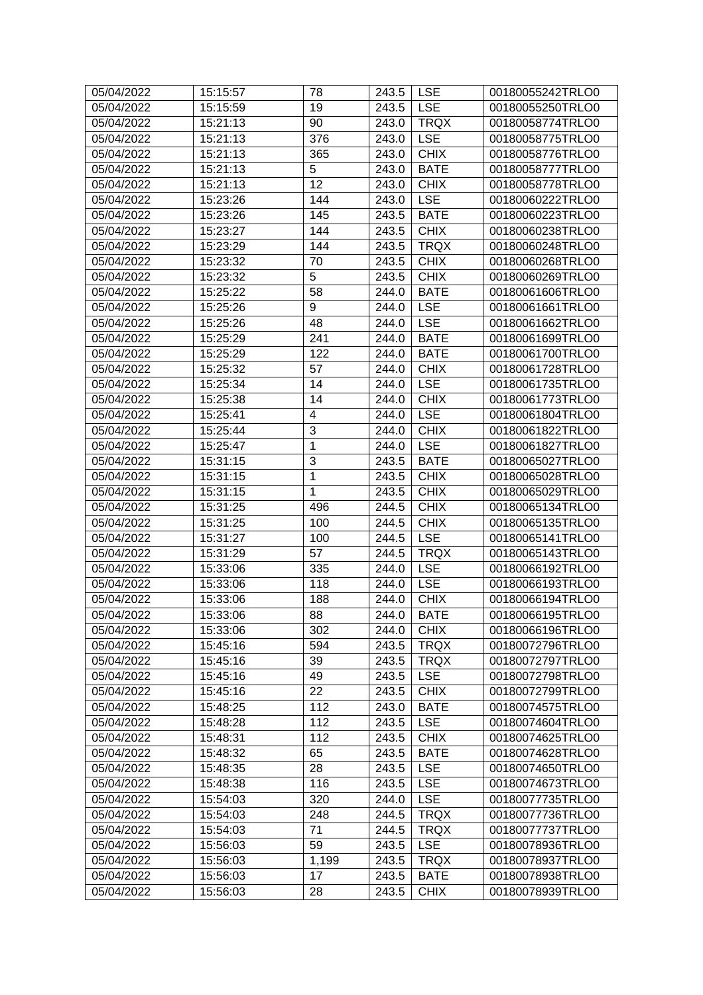| 05/04/2022 | 15:15:57 | 78                   | 243.5 | <b>LSE</b>                | 00180055242TRLO0 |
|------------|----------|----------------------|-------|---------------------------|------------------|
| 05/04/2022 | 15:15:59 | 19                   | 243.5 | <b>LSE</b>                | 00180055250TRLO0 |
| 05/04/2022 | 15:21:13 | 90                   | 243.0 | <b>TRQX</b>               | 00180058774TRLO0 |
| 05/04/2022 | 15:21:13 | 376                  | 243.0 | <b>LSE</b>                | 00180058775TRLO0 |
| 05/04/2022 | 15:21:13 | 365                  | 243.0 | <b>CHIX</b>               | 00180058776TRLO0 |
| 05/04/2022 | 15:21:13 | 5                    | 243.0 | <b>BATE</b>               | 00180058777TRLO0 |
| 05/04/2022 | 15:21:13 | $\overline{12}$      | 243.0 | <b>CHIX</b>               | 00180058778TRLO0 |
| 05/04/2022 | 15:23:26 | 144                  | 243.0 | <b>LSE</b>                | 00180060222TRLO0 |
| 05/04/2022 | 15:23:26 | 145                  | 243.5 | <b>BATE</b>               | 00180060223TRLO0 |
| 05/04/2022 | 15:23:27 | 144                  | 243.5 | <b>CHIX</b>               | 00180060238TRLO0 |
| 05/04/2022 | 15:23:29 | 144                  | 243.5 | <b>TRQX</b>               | 00180060248TRLO0 |
| 05/04/2022 | 15:23:32 | 70                   | 243.5 | <b>CHIX</b>               | 00180060268TRLO0 |
| 05/04/2022 | 15:23:32 | $\overline{5}$       | 243.5 | <b>CHIX</b>               | 00180060269TRLO0 |
| 05/04/2022 | 15:25:22 | 58                   | 244.0 | <b>BATE</b>               | 00180061606TRLO0 |
| 05/04/2022 | 15:25:26 | 9                    | 244.0 | <b>LSE</b>                | 00180061661TRLO0 |
| 05/04/2022 | 15:25:26 | 48                   | 244.0 | <b>LSE</b>                | 00180061662TRLO0 |
| 05/04/2022 | 15:25:29 | 241                  | 244.0 | <b>BATE</b>               | 00180061699TRLO0 |
| 05/04/2022 | 15:25:29 | 122                  | 244.0 | <b>BATE</b>               | 00180061700TRLO0 |
| 05/04/2022 | 15:25:32 | 57                   | 244.0 | <b>CHIX</b>               | 00180061728TRLO0 |
|            |          |                      |       |                           |                  |
| 05/04/2022 | 15:25:34 | 14                   | 244.0 | <b>LSE</b>                | 00180061735TRLO0 |
| 05/04/2022 | 15:25:38 | 14<br>$\overline{4}$ | 244.0 | <b>CHIX</b><br><b>LSE</b> | 00180061773TRLO0 |
| 05/04/2022 | 15:25:41 |                      | 244.0 |                           | 00180061804TRLO0 |
| 05/04/2022 | 15:25:44 | 3<br>$\overline{1}$  | 244.0 | <b>CHIX</b>               | 00180061822TRLO0 |
| 05/04/2022 | 15:25:47 |                      | 244.0 | <b>LSE</b>                | 00180061827TRLO0 |
| 05/04/2022 | 15:31:15 | $\overline{3}$       | 243.5 | <b>BATE</b>               | 00180065027TRLO0 |
| 05/04/2022 | 15:31:15 | $\mathbf 1$          | 243.5 | <b>CHIX</b>               | 00180065028TRLO0 |
| 05/04/2022 | 15:31:15 | $\mathbf{1}$         | 243.5 | <b>CHIX</b>               | 00180065029TRLO0 |
| 05/04/2022 | 15:31:25 | 496                  | 244.5 | <b>CHIX</b>               | 00180065134TRLO0 |
| 05/04/2022 | 15:31:25 | 100                  | 244.5 | <b>CHIX</b>               | 00180065135TRLO0 |
| 05/04/2022 | 15:31:27 | 100                  | 244.5 | <b>LSE</b>                | 00180065141TRLO0 |
| 05/04/2022 | 15:31:29 | 57                   | 244.5 | <b>TRQX</b>               | 00180065143TRLO0 |
| 05/04/2022 | 15:33:06 | 335                  | 244.0 | <b>LSE</b>                | 00180066192TRLO0 |
| 05/04/2022 | 15:33:06 | 118                  | 244.0 | <b>LSE</b>                | 00180066193TRLO0 |
| 05/04/2022 | 15:33:06 | 188                  | 244.0 | <b>CHIX</b>               | 00180066194TRLO0 |
| 05/04/2022 | 15:33:06 | 88                   | 244.0 | <b>BATE</b>               | 00180066195TRLO0 |
| 05/04/2022 | 15:33:06 | 302                  | 244.0 | <b>CHIX</b>               | 00180066196TRLO0 |
| 05/04/2022 | 15:45:16 | 594                  | 243.5 | <b>TRQX</b>               | 00180072796TRLO0 |
| 05/04/2022 | 15:45:16 | 39                   | 243.5 | <b>TRQX</b>               | 00180072797TRLO0 |
| 05/04/2022 | 15:45:16 | 49                   | 243.5 | <b>LSE</b>                | 00180072798TRLO0 |
| 05/04/2022 | 15:45:16 | 22                   | 243.5 | <b>CHIX</b>               | 00180072799TRLO0 |
| 05/04/2022 | 15:48:25 | 112                  | 243.0 | <b>BATE</b>               | 00180074575TRLO0 |
| 05/04/2022 | 15:48:28 | 112                  | 243.5 | <b>LSE</b>                | 00180074604TRLO0 |
| 05/04/2022 | 15:48:31 | 112                  | 243.5 | <b>CHIX</b>               | 00180074625TRLO0 |
| 05/04/2022 | 15:48:32 | 65                   | 243.5 | <b>BATE</b>               | 00180074628TRLO0 |
| 05/04/2022 | 15:48:35 | 28                   | 243.5 | <b>LSE</b>                | 00180074650TRLO0 |
| 05/04/2022 | 15:48:38 | 116                  | 243.5 | <b>LSE</b>                | 00180074673TRLO0 |
| 05/04/2022 | 15:54:03 | 320                  | 244.0 | <b>LSE</b>                | 00180077735TRLO0 |
| 05/04/2022 | 15:54:03 | 248                  | 244.5 | <b>TRQX</b>               | 00180077736TRLO0 |
| 05/04/2022 | 15:54:03 | 71                   | 244.5 | <b>TRQX</b>               | 00180077737TRLO0 |
| 05/04/2022 | 15:56:03 | 59                   | 243.5 | <b>LSE</b>                | 00180078936TRLO0 |
| 05/04/2022 | 15:56:03 | 1,199                | 243.5 | <b>TRQX</b>               | 00180078937TRLO0 |
| 05/04/2022 | 15:56:03 | 17                   | 243.5 | <b>BATE</b>               | 00180078938TRLO0 |
| 05/04/2022 | 15:56:03 | 28                   | 243.5 | <b>CHIX</b>               | 00180078939TRLO0 |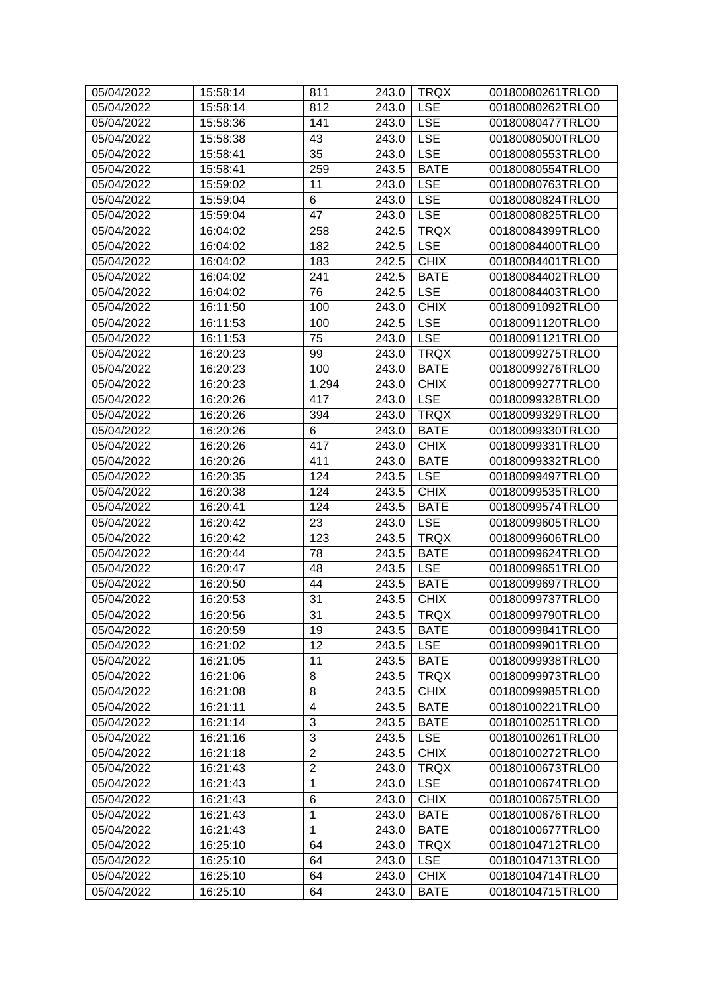| 05/04/2022 | 15:58:14 | 811            | 243.0 | <b>TRQX</b> | 00180080261TRLO0 |
|------------|----------|----------------|-------|-------------|------------------|
| 05/04/2022 | 15:58:14 | 812            | 243.0 | <b>LSE</b>  | 00180080262TRLO0 |
| 05/04/2022 | 15:58:36 | 141            | 243.0 | <b>LSE</b>  | 00180080477TRLO0 |
| 05/04/2022 | 15:58:38 | 43             | 243.0 | <b>LSE</b>  | 00180080500TRLO0 |
| 05/04/2022 | 15:58:41 | 35             | 243.0 | <b>LSE</b>  | 00180080553TRLO0 |
| 05/04/2022 | 15:58:41 | 259            | 243.5 | <b>BATE</b> | 00180080554TRLO0 |
| 05/04/2022 | 15:59:02 | 11             | 243.0 | <b>LSE</b>  | 00180080763TRLO0 |
| 05/04/2022 | 15:59:04 | 6              | 243.0 | <b>LSE</b>  | 00180080824TRLO0 |
| 05/04/2022 | 15:59:04 | 47             | 243.0 | <b>LSE</b>  | 00180080825TRLO0 |
| 05/04/2022 | 16:04:02 | 258            | 242.5 | <b>TRQX</b> | 00180084399TRLO0 |
| 05/04/2022 | 16:04:02 | 182            | 242.5 | <b>LSE</b>  | 00180084400TRLO0 |
| 05/04/2022 | 16:04:02 | 183            | 242.5 | <b>CHIX</b> | 00180084401TRLO0 |
| 05/04/2022 | 16:04:02 | 241            | 242.5 | <b>BATE</b> | 00180084402TRLO0 |
| 05/04/2022 | 16:04:02 | 76             | 242.5 | <b>LSE</b>  | 00180084403TRLO0 |
| 05/04/2022 | 16:11:50 | 100            | 243.0 | <b>CHIX</b> | 00180091092TRLO0 |
| 05/04/2022 | 16:11:53 | 100            | 242.5 | <b>LSE</b>  | 00180091120TRLO0 |
| 05/04/2022 | 16:11:53 | 75             | 243.0 | <b>LSE</b>  | 00180091121TRLO0 |
| 05/04/2022 | 16:20:23 | 99             | 243.0 | <b>TRQX</b> | 00180099275TRLO0 |
| 05/04/2022 | 16:20:23 | 100            | 243.0 | <b>BATE</b> | 00180099276TRLO0 |
| 05/04/2022 | 16:20:23 | 1,294          | 243.0 | <b>CHIX</b> | 00180099277TRLO0 |
| 05/04/2022 | 16:20:26 | 417            | 243.0 | <b>LSE</b>  | 00180099328TRLO0 |
| 05/04/2022 | 16:20:26 | 394            | 243.0 | <b>TRQX</b> | 00180099329TRLO0 |
| 05/04/2022 | 16:20:26 | 6              | 243.0 | <b>BATE</b> | 00180099330TRLO0 |
| 05/04/2022 | 16:20:26 | 417            | 243.0 | <b>CHIX</b> | 00180099331TRLO0 |
| 05/04/2022 | 16:20:26 | 411            | 243.0 | <b>BATE</b> | 00180099332TRLO0 |
| 05/04/2022 | 16:20:35 | 124            | 243.5 | <b>LSE</b>  | 00180099497TRLO0 |
| 05/04/2022 | 16:20:38 | 124            | 243.5 | <b>CHIX</b> | 00180099535TRLO0 |
| 05/04/2022 | 16:20:41 | 124            | 243.5 | <b>BATE</b> | 00180099574TRLO0 |
| 05/04/2022 | 16:20:42 | 23             | 243.0 | <b>LSE</b>  | 00180099605TRLO0 |
| 05/04/2022 | 16:20:42 | 123            | 243.5 | <b>TRQX</b> | 00180099606TRLO0 |
| 05/04/2022 | 16:20:44 | 78             | 243.5 | <b>BATE</b> | 00180099624TRLO0 |
| 05/04/2022 | 16:20:47 | 48             | 243.5 | <b>LSE</b>  | 00180099651TRLO0 |
| 05/04/2022 | 16:20:50 | 44             | 243.5 | <b>BATE</b> | 00180099697TRLO0 |
| 05/04/2022 | 16:20:53 | 31             | 243.5 | <b>CHIX</b> | 00180099737TRLO0 |
| 05/04/2022 | 16:20:56 | 31             | 243.5 | <b>TRQX</b> | 00180099790TRLO0 |
| 05/04/2022 | 16:20:59 | 19             | 243.5 | <b>BATE</b> | 00180099841TRLO0 |
| 05/04/2022 | 16:21:02 | 12             | 243.5 | <b>LSE</b>  | 00180099901TRLO0 |
| 05/04/2022 | 16:21:05 | 11             | 243.5 | <b>BATE</b> | 00180099938TRLO0 |
| 05/04/2022 | 16:21:06 | 8              | 243.5 | <b>TRQX</b> | 00180099973TRLO0 |
| 05/04/2022 | 16:21:08 | 8              | 243.5 | <b>CHIX</b> | 00180099985TRLO0 |
| 05/04/2022 | 16:21:11 | 4              | 243.5 | <b>BATE</b> | 00180100221TRLO0 |
| 05/04/2022 | 16:21:14 | $\overline{3}$ | 243.5 | <b>BATE</b> | 00180100251TRLO0 |
| 05/04/2022 | 16:21:16 | $\overline{3}$ | 243.5 | <b>LSE</b>  | 00180100261TRLO0 |
| 05/04/2022 | 16:21:18 | $\overline{2}$ | 243.5 | <b>CHIX</b> | 00180100272TRLO0 |
| 05/04/2022 | 16:21:43 | $\overline{2}$ | 243.0 | <b>TRQX</b> | 00180100673TRLO0 |
| 05/04/2022 | 16:21:43 | $\mathbf{1}$   | 243.0 | <b>LSE</b>  | 00180100674TRLO0 |
| 05/04/2022 | 16:21:43 | 6              | 243.0 | <b>CHIX</b> | 00180100675TRLO0 |
| 05/04/2022 | 16:21:43 | $\mathbf{1}$   | 243.0 | <b>BATE</b> | 00180100676TRLO0 |
| 05/04/2022 | 16:21:43 | $\mathbf{1}$   | 243.0 | <b>BATE</b> | 00180100677TRLO0 |
| 05/04/2022 | 16:25:10 | 64             | 243.0 | <b>TRQX</b> | 00180104712TRLO0 |
| 05/04/2022 | 16:25:10 | 64             | 243.0 | <b>LSE</b>  | 00180104713TRLO0 |
| 05/04/2022 | 16:25:10 | 64             | 243.0 | <b>CHIX</b> | 00180104714TRLO0 |
| 05/04/2022 | 16:25:10 | 64             | 243.0 | <b>BATE</b> | 00180104715TRLO0 |